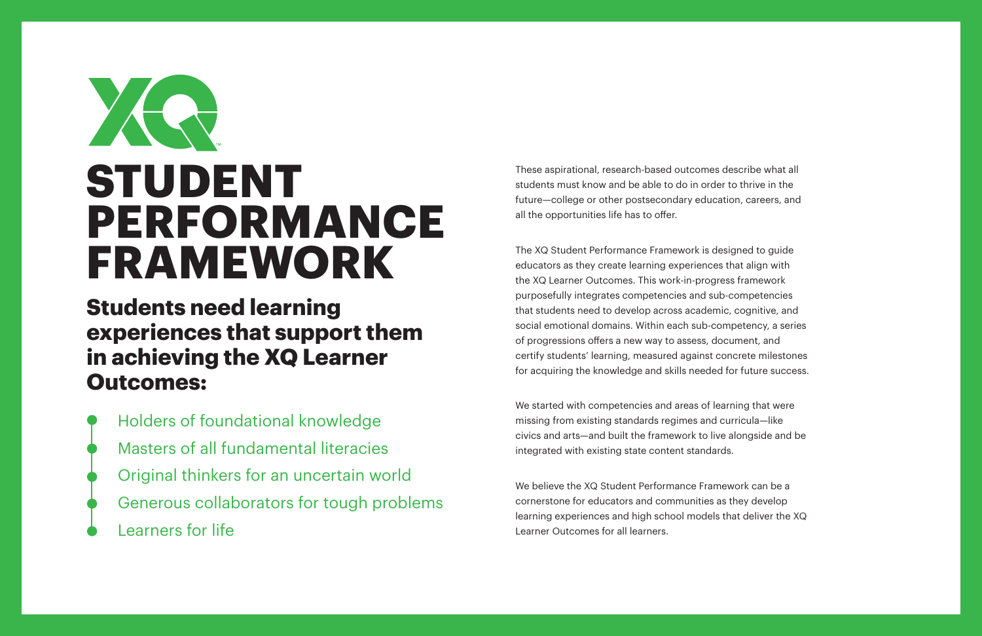# XR **STUDENT PERFORMANCE FRAMEWORK**

**Students need learning experiences that support them in achieving the XQ Learner Outcomes:** 

Holders of foundational knowledge Masters of all fundamental literacies Original thinkers for an uncertain world Generous collaborators for tough problems Learners for life

These aspirational, research-based outcomes describe what all students must know and be able to do in order to thrive in the future—college or other postsecondary education, careers, and all the opportunities life has to offer.

The XQ Student Performance Framework is designed to guide educators as they create learning experiences that align with the XQ Learner Outcomes. This work-in-progress framework purposefully integrates competencies and sub-competencies that students need to develop across academic, cognitive, and social emotional domains. Within each sub-competency, a series of progressions offers a new way to assess, document, and certify students' learning, measured against concrete milestones for acquiring the knowledge and skills needed for future success.

We started with competencies and areas of learning that were missing from existing standards regimes and curricula—like civics and arts—and built the framework to live alongside and be integrated with existing state content standards.

We believe the XQ Student Performance Framework can be a cornerstone for educators and communities as they develop learning experiences and high school models that deliver the XQ Learner Outcomes for all learners.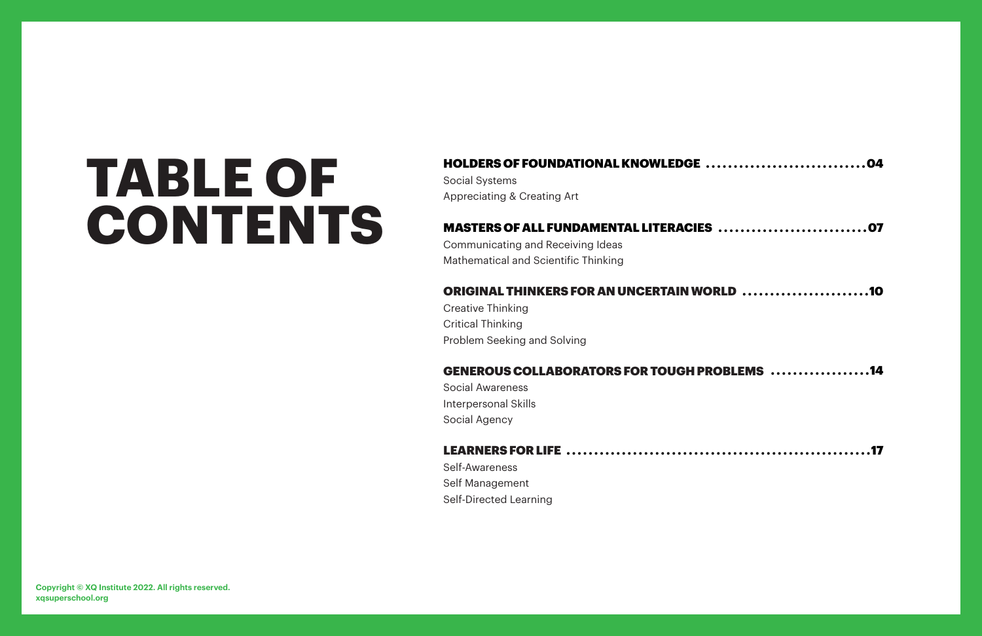## HOLDERS OF FOUNDATIONAL KNOWLEDGE

Social Systems Appreciating & Creating Art

## MASTERS OF ALL FUNDAMENTAL LITERACIES

Communicating and Receiving Ideas Mathematical and Scientific Thinking

## ORIGINAL THINKERS FOR AN UNCERTAIN WOR

Creative Thinking Critical Thinking Problem Seeking and Solving

## **GENEROUS COLLABORATORS FOR TOUGH PRO**

Social Awareness Interpersonal Skills Social Agency

Self-Awareness Self Management Self-Directed Learning

| S 07              |  |
|-------------------|--|
| <b>ORLD</b> 10    |  |
| <b>ROBLEMS</b> 14 |  |
| 17                |  |

### LEARNERS FOR LIFE . . . . . . . . . . . . . . . . . . . . . . . . . . . . . . . . . . . . . . . . . . . . . . . . . . . . . . .17

# **TABLE OF CONTENTS**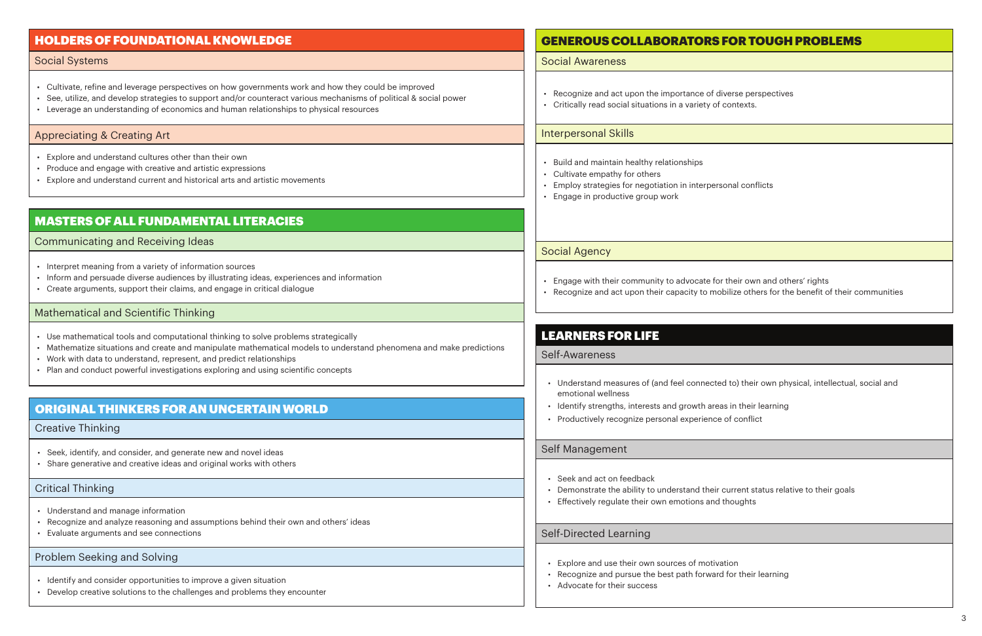- Recognize and act upon the importance of diverse perspectives
- Critically read social situations in a variety of contexts.

- Engage with their community to advocate for their own and others' rights
- 

• Recognize and act upon their capacity to mobilize others for the benefit of their communities

- Build and maintain healthy relationships
- Cultivate empathy for others
- Employ strategies for negotiation in interpersonal conflicts
- Engage in productive group work
- Cultivate, refine and leverage perspectives on how governments work and how they could be improved
- See, utilize, and develop strategies to support and/or counteract various mechanisms of political & social power
- Leverage an understanding of economics and human relationships to physical resources

• Understand measures of (and feel connected to) their own physical, intellectual, social and

- emotional wellness
- Identify strengths, interests and growth areas in their learning
- Productively recognize personal experience of conflict

- Seek and act on feedback
- Demonstrate the ability to understand their current status relative to their goals
- Effectively regulate their own emotions and thoughts
- Seek, identify, and consider, and generate new and novel ideas
- Share generative and creative ideas and original works with others

- Understand and manage information
- Recognize and analyze reasoning and assumptions behind their own and others' ideas
- Evaluate arguments and see connections

- Identify and consider opportunities to improve a given situation
- Develop creative solutions to the challenges and problems they encounter

## **GENEROUS COLLABORATORS**

- Explore and use their own sources of motivation
- Recognize and pursue the best path forward for their learning
- Advocate for their success

|  |  | FOR TOUGH PROBLEMS |
|--|--|--------------------|
|  |  |                    |

- Explore and understand cultures other than their own
- Produce and engage with creative and artistic expressions
- Explore and understand current and historical arts and artistic movements

- Interpret meaning from a variety of information sources
- Inform and persuade diverse audiences by illustrating ideas, experiences and information
- Create arguments, support their claims, and engage in critical dialogue

- Use mathematical tools and computational thinking to solve problems strategically
- Mathematize situations and create and manipulate mathematical models to understand phenomena and make predictions
- Work with data to understand, represent, and predict relationships
- Plan and conduct powerful investigations exploring and using scientific concepts

## HOLDERS OF FOUNDATIONAL KNOWLEDGE

## LEARNERS FOR LIFE

## ORIGINAL THINKERS FOR AN UNCERTAIN WORLD

## MASTERS OF ALL FUNDAMENTAL LITERACIES

### Social Systems

### Self-Awareness

### Creative Thinking

### Critical Thinking

### Problem Seeking and Solving

### Self Management

### Self-Directed Learning

### Communicating and Receiving Ideas

### Social Awareness

### Interpersonal Skills

### Social Agency

### Mathematical and Scientific Thinking

### Appreciating & Creating Art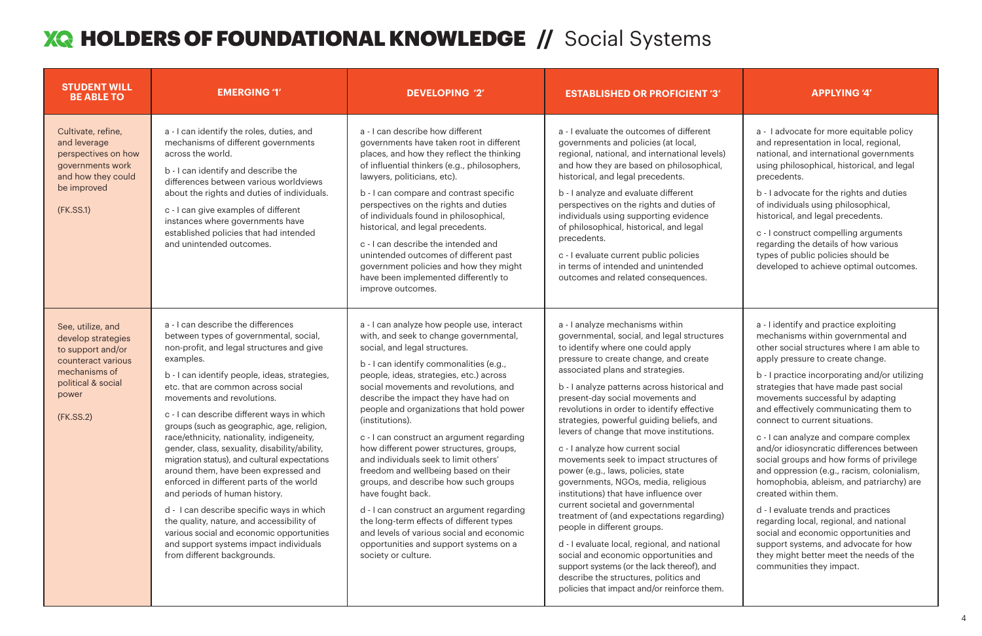### 4

## **XQ HOLDERS OF FOUNDATIONAL KNOWLEDGE // Social Systems**

| <b>STUDENT WILL</b><br><b>BE ABLE TO</b>                                                                                                        | <b>EMERGING '1'</b>                                                                                                                                                                                                                                                                                                                                                                                                                                                                                                                                                                                                                                                                                                                                                                                                                        | <b>DEVELOPING '2'</b>                                                                                                                                                                                                                                                                                                                                                                                                                                                                                                                                                                                                                                                                                                                                                                                    | <b>ESTABLISHED OR PROFICIENT '3'</b>                                                                                                                                                                                                                                                                                                                                                                                                                                                                                                                                                                                                                                                                                                                                                                                                                                                                                                                                            | <b>APPLYING '4'</b>                                                                                                                                                                                                                                                                                                                                                                                                                                                                                                                                                                                                                                                                                                                                                                                                                                                   |
|-------------------------------------------------------------------------------------------------------------------------------------------------|--------------------------------------------------------------------------------------------------------------------------------------------------------------------------------------------------------------------------------------------------------------------------------------------------------------------------------------------------------------------------------------------------------------------------------------------------------------------------------------------------------------------------------------------------------------------------------------------------------------------------------------------------------------------------------------------------------------------------------------------------------------------------------------------------------------------------------------------|----------------------------------------------------------------------------------------------------------------------------------------------------------------------------------------------------------------------------------------------------------------------------------------------------------------------------------------------------------------------------------------------------------------------------------------------------------------------------------------------------------------------------------------------------------------------------------------------------------------------------------------------------------------------------------------------------------------------------------------------------------------------------------------------------------|---------------------------------------------------------------------------------------------------------------------------------------------------------------------------------------------------------------------------------------------------------------------------------------------------------------------------------------------------------------------------------------------------------------------------------------------------------------------------------------------------------------------------------------------------------------------------------------------------------------------------------------------------------------------------------------------------------------------------------------------------------------------------------------------------------------------------------------------------------------------------------------------------------------------------------------------------------------------------------|-----------------------------------------------------------------------------------------------------------------------------------------------------------------------------------------------------------------------------------------------------------------------------------------------------------------------------------------------------------------------------------------------------------------------------------------------------------------------------------------------------------------------------------------------------------------------------------------------------------------------------------------------------------------------------------------------------------------------------------------------------------------------------------------------------------------------------------------------------------------------|
| Cultivate, refine,<br>and leverage<br>perspectives on how<br>governments work<br>and how they could<br>be improved<br>(FK.SS.1)                 | a - I can identify the roles, duties, and<br>mechanisms of different governments<br>across the world.<br>b - I can identify and describe the<br>differences between various worldviews<br>about the rights and duties of individuals.<br>c - I can give examples of different<br>instances where governments have<br>established policies that had intended<br>and unintended outcomes.                                                                                                                                                                                                                                                                                                                                                                                                                                                    | a - I can describe how different<br>governments have taken root in different<br>places, and how they reflect the thinking<br>of influential thinkers (e.g., philosophers,<br>lawyers, politicians, etc).<br>b - I can compare and contrast specific<br>perspectives on the rights and duties<br>of individuals found in philosophical,<br>historical, and legal precedents.<br>c - I can describe the intended and<br>unintended outcomes of different past<br>government policies and how they might<br>have been implemented differently to<br>improve outcomes.                                                                                                                                                                                                                                       | a - I evaluate the outcomes of different<br>governments and policies (at local,<br>regional, national, and international levels)<br>and how they are based on philosophical,<br>historical, and legal precedents.<br>b - I analyze and evaluate different<br>perspectives on the rights and duties of<br>individuals using supporting evidence<br>of philosophical, historical, and legal<br>precedents.<br>c - I evaluate current public policies<br>in terms of intended and unintended<br>outcomes and related consequences.                                                                                                                                                                                                                                                                                                                                                                                                                                                 | a - I advocate for more equitable policy<br>and representation in local, regional,<br>national, and international governments<br>using philosophical, historical, and legal<br>precedents.<br>b - I advocate for the rights and duties<br>of individuals using philosophical,<br>historical, and legal precedents.<br>c - I construct compelling arguments<br>regarding the details of how various<br>types of public policies should be<br>developed to achieve optimal outcomes.                                                                                                                                                                                                                                                                                                                                                                                    |
| See, utilize, and<br>develop strategies<br>to support and/or<br>counteract various<br>mechanisms of<br>political & social<br>power<br>(FK.SS.2) | a - I can describe the differences<br>between types of governmental, social,<br>non-profit, and legal structures and give<br>examples.<br>b - I can identify people, ideas, strategies,<br>etc. that are common across social<br>movements and revolutions.<br>c - I can describe different ways in which<br>groups (such as geographic, age, religion,<br>race/ethnicity, nationality, indigeneity,<br>gender, class, sexuality, disability/ability,<br>migration status), and cultural expectations<br>around them, have been expressed and<br>enforced in different parts of the world<br>and periods of human history.<br>d - I can describe specific ways in which<br>the quality, nature, and accessibility of<br>various social and economic opportunities<br>and support systems impact individuals<br>from different backgrounds. | a - I can analyze how people use, interact<br>with, and seek to change governmental,<br>social, and legal structures.<br>b - I can identify commonalities (e.g.,<br>people, ideas, strategies, etc.) across<br>social movements and revolutions, and<br>describe the impact they have had on<br>people and organizations that hold power<br>(institutions).<br>c - I can construct an argument regarding<br>how different power structures, groups,<br>and individuals seek to limit others'<br>freedom and wellbeing based on their<br>groups, and describe how such groups<br>have fought back.<br>d - I can construct an argument regarding<br>the long-term effects of different types<br>and levels of various social and economic<br>opportunities and support systems on a<br>society or culture. | a - I analyze mechanisms within<br>governmental, social, and legal structures<br>to identify where one could apply<br>pressure to create change, and create<br>associated plans and strategies.<br>b - I analyze patterns across historical and<br>present-day social movements and<br>revolutions in order to identify effective<br>strategies, powerful guiding beliefs, and<br>levers of change that move institutions.<br>c - I analyze how current social<br>movements seek to impact structures of<br>power (e.g., laws, policies, state<br>governments, NGOs, media, religious<br>institutions) that have influence over<br>current societal and governmental<br>treatment of (and expectations regarding)<br>people in different groups.<br>d - I evaluate local, regional, and national<br>social and economic opportunities and<br>support systems (or the lack thereof), and<br>describe the structures, politics and<br>policies that impact and/or reinforce them. | a - I identify and practice exploiting<br>mechanisms within governmental and<br>other social structures where I am able to<br>apply pressure to create change.<br>b - I practice incorporating and/or utilizing<br>strategies that have made past social<br>movements successful by adapting<br>and effectively communicating them to<br>connect to current situations.<br>c - I can analyze and compare complex<br>and/or idiosyncratic differences between<br>social groups and how forms of privilege<br>and oppression (e.g., racism, colonialism,<br>homophobia, ableism, and patriarchy) are<br>created within them.<br>d - I evaluate trends and practices<br>regarding local, regional, and national<br>social and economic opportunities and<br>support systems, and advocate for how<br>they might better meet the needs of the<br>communities they impact. |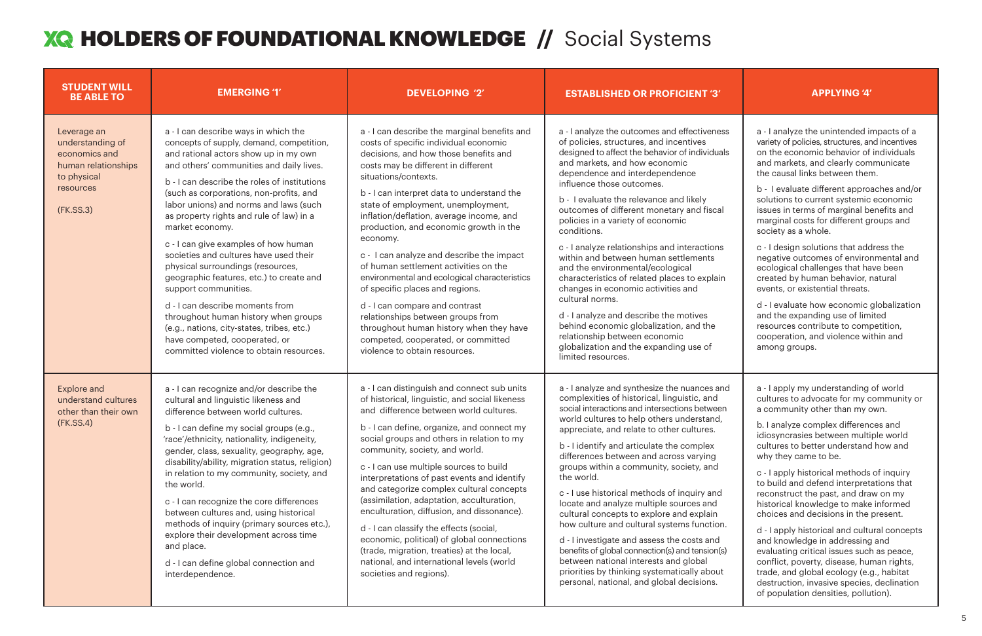## **XQ HOLDERS OF FOUNDATIONAL KNOWLEDGE // Social Systems**

| <b>STUDENT WILL</b><br><b>BE ABLE TO</b>                                                                         | <b>EMERGING '1'</b>                                                                                                                                                                                                                                                                                                                                                                                                                                                                                                                                                                                                                                                                                                                                                       | <b>DEVELOPING '2'</b>                                                                                                                                                                                                                                                                                                                                                                                                                                                                                                                                                                                                                                                                                                                                 | <b>ESTABLISHED OR PROFICIENT '3'</b>                                                                                                                                                                                                                                                                                                                                                                                                                                                                                                                                                                                                                                                                                                                                                                             | <b>APPLYING '4'</b>                                                                                                                                                                                                                                                                                                                                                                                                                                                                                                                                                                                                                                                                                                                                                                                             |
|------------------------------------------------------------------------------------------------------------------|---------------------------------------------------------------------------------------------------------------------------------------------------------------------------------------------------------------------------------------------------------------------------------------------------------------------------------------------------------------------------------------------------------------------------------------------------------------------------------------------------------------------------------------------------------------------------------------------------------------------------------------------------------------------------------------------------------------------------------------------------------------------------|-------------------------------------------------------------------------------------------------------------------------------------------------------------------------------------------------------------------------------------------------------------------------------------------------------------------------------------------------------------------------------------------------------------------------------------------------------------------------------------------------------------------------------------------------------------------------------------------------------------------------------------------------------------------------------------------------------------------------------------------------------|------------------------------------------------------------------------------------------------------------------------------------------------------------------------------------------------------------------------------------------------------------------------------------------------------------------------------------------------------------------------------------------------------------------------------------------------------------------------------------------------------------------------------------------------------------------------------------------------------------------------------------------------------------------------------------------------------------------------------------------------------------------------------------------------------------------|-----------------------------------------------------------------------------------------------------------------------------------------------------------------------------------------------------------------------------------------------------------------------------------------------------------------------------------------------------------------------------------------------------------------------------------------------------------------------------------------------------------------------------------------------------------------------------------------------------------------------------------------------------------------------------------------------------------------------------------------------------------------------------------------------------------------|
| Leverage an<br>understanding of<br>economics and<br>human relationships<br>to physical<br>resources<br>(FK.SS.3) | a - I can describe ways in which the<br>concepts of supply, demand, competition,<br>and rational actors show up in my own<br>and others' communities and daily lives.<br>b - I can describe the roles of institutions<br>(such as corporations, non-profits, and<br>labor unions) and norms and laws (such<br>as property rights and rule of law) in a<br>market economy.<br>c - I can give examples of how human<br>societies and cultures have used their<br>physical surroundings (resources,<br>geographic features, etc.) to create and<br>support communities.<br>d - I can describe moments from<br>throughout human history when groups<br>(e.g., nations, city-states, tribes, etc.)<br>have competed, cooperated, or<br>committed violence to obtain resources. | a - I can describe the marginal benefits and<br>costs of specific individual economic<br>decisions, and how those benefits and<br>costs may be different in different<br>situations/contexts.<br>b - I can interpret data to understand the<br>state of employment, unemployment,<br>inflation/deflation, average income, and<br>production, and economic growth in the<br>economy.<br>c - I can analyze and describe the impact<br>of human settlement activities on the<br>environmental and ecological characteristics<br>of specific places and regions.<br>d - I can compare and contrast<br>relationships between groups from<br>throughout human history when they have<br>competed, cooperated, or committed<br>violence to obtain resources. | a - I analyze the outcomes and effectiveness<br>of policies, structures, and incentives<br>designed to affect the behavior of individuals<br>and markets, and how economic<br>dependence and interdependence<br>influence those outcomes.<br>b - I evaluate the relevance and likely<br>outcomes of different monetary and fiscal<br>policies in a variety of economic<br>conditions.<br>c - I analyze relationships and interactions<br>within and between human settlements<br>and the environmental/ecological<br>characteristics of related places to explain<br>changes in economic activities and<br>cultural norms.<br>d - I analyze and describe the motives<br>behind economic globalization, and the<br>relationship between economic<br>globalization and the expanding use of<br>limited resources.  | a - I analyze the unintended impacts of a<br>variety of policies, structures, and incentives<br>on the economic behavior of individuals<br>and markets, and clearly communicate<br>the causal links between them.<br>b - I evaluate different approaches and/or<br>solutions to current systemic economic<br>issues in terms of marginal benefits and<br>marginal costs for different groups and<br>society as a whole.<br>c - I design solutions that address the<br>negative outcomes of environmental and<br>ecological challenges that have been<br>created by human behavior, natural<br>events, or existential threats.<br>d - I evaluate how economic globalization<br>and the expanding use of limited<br>resources contribute to competition,<br>cooperation, and violence within and<br>among groups. |
| <b>Explore and</b><br>understand cultures<br>other than their own<br>(FK.SS.4)                                   | a - I can recognize and/or describe the<br>cultural and linguistic likeness and<br>difference between world cultures.<br>b - I can define my social groups (e.g.,<br>'race'/ethnicity, nationality, indigeneity,<br>gender, class, sexuality, geography, age,<br>disability/ability, migration status, religion)<br>in relation to my community, society, and<br>the world.<br>c - I can recognize the core differences<br>between cultures and, using historical<br>methods of inquiry (primary sources etc.),<br>explore their development across time<br>and place.<br>d - I can define global connection and<br>interdependence.                                                                                                                                      | a - I can distinguish and connect sub units<br>of historical, linguistic, and social likeness<br>and difference between world cultures.<br>b - I can define, organize, and connect my<br>social groups and others in relation to my<br>community, society, and world.<br>c - I can use multiple sources to build<br>interpretations of past events and identify<br>and categorize complex cultural concepts<br>(assimilation, adaptation, acculturation,<br>enculturation, diffusion, and dissonance).<br>d - I can classify the effects (social,<br>economic, political) of global connections<br>(trade, migration, treaties) at the local,<br>national, and international levels (world<br>societies and regions).                                 | a - I analyze and synthesize the nuances and<br>complexities of historical, linguistic, and<br>social interactions and intersections between<br>world cultures to help others understand,<br>appreciate, and relate to other cultures.<br>b - I identify and articulate the complex<br>differences between and across varying<br>groups within a community, society, and<br>the world.<br>c - I use historical methods of inquiry and<br>locate and analyze multiple sources and<br>cultural concepts to explore and explain<br>how culture and cultural systems function.<br>d - I investigate and assess the costs and<br>benefits of global connection(s) and tension(s)<br>between national interests and global<br>priorities by thinking systematically about<br>personal, national, and global decisions. | a - I apply my understanding of world<br>cultures to advocate for my community or<br>a community other than my own.<br>b. I analyze complex differences and<br>idiosyncrasies between multiple world<br>cultures to better understand how and<br>why they came to be.<br>c - I apply historical methods of inquiry<br>to build and defend interpretations that<br>reconstruct the past, and draw on my<br>historical knowledge to make informed<br>choices and decisions in the present.<br>d - I apply historical and cultural concepts<br>and knowledge in addressing and<br>evaluating critical issues such as peace,<br>conflict, poverty, disease, human rights,<br>trade, and global ecology (e.g., habitat<br>destruction, invasive species, declination<br>of population densities, pollution).         |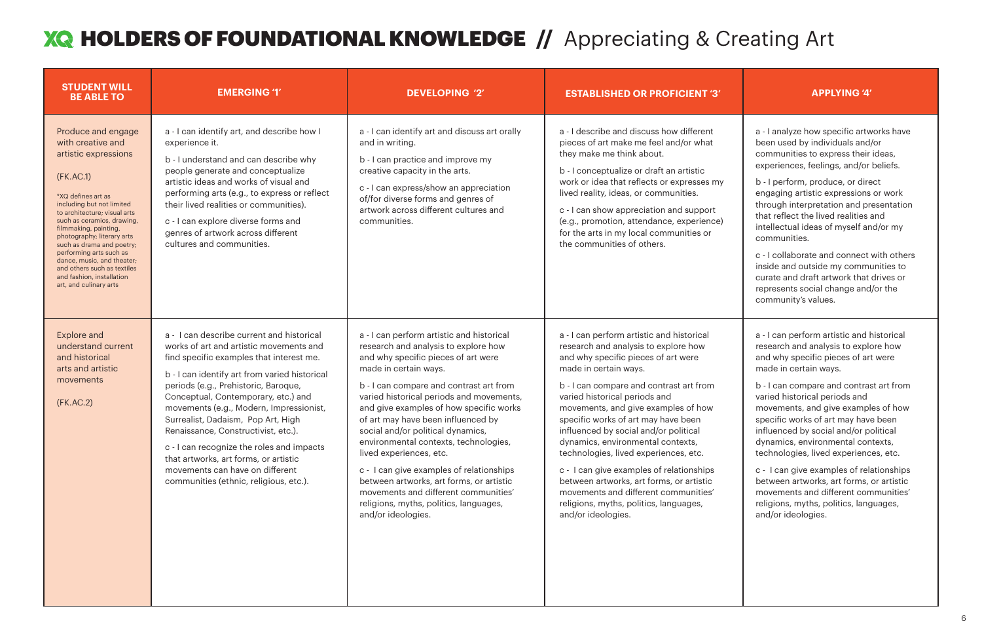| <b>STUDENT WILL</b><br><b>BE ABLE TO</b>                                                                                                                                                                                                                                                                                                                                                                                         | <b>EMERGING '1'</b>                                                                                                                                                                                                                                                                                                                                                                                                                                                                                                                                         | <b>DEVELOPING '2'</b>                                                                                                                                                                                                                                                                                                                                                                                                                                                                                                                                                                                                              | <b>ESTABLISHED OR PROFICIENT '3'</b>                                                                                                                                                                                                                                                                                                                                                                                                                                                                                                                                                                                               | <b>APPLYING '4'</b>                                                                                                                                                                                                                                                                                                                                                                                                                                                                                                           |
|----------------------------------------------------------------------------------------------------------------------------------------------------------------------------------------------------------------------------------------------------------------------------------------------------------------------------------------------------------------------------------------------------------------------------------|-------------------------------------------------------------------------------------------------------------------------------------------------------------------------------------------------------------------------------------------------------------------------------------------------------------------------------------------------------------------------------------------------------------------------------------------------------------------------------------------------------------------------------------------------------------|------------------------------------------------------------------------------------------------------------------------------------------------------------------------------------------------------------------------------------------------------------------------------------------------------------------------------------------------------------------------------------------------------------------------------------------------------------------------------------------------------------------------------------------------------------------------------------------------------------------------------------|------------------------------------------------------------------------------------------------------------------------------------------------------------------------------------------------------------------------------------------------------------------------------------------------------------------------------------------------------------------------------------------------------------------------------------------------------------------------------------------------------------------------------------------------------------------------------------------------------------------------------------|-------------------------------------------------------------------------------------------------------------------------------------------------------------------------------------------------------------------------------------------------------------------------------------------------------------------------------------------------------------------------------------------------------------------------------------------------------------------------------------------------------------------------------|
| Produce and engage<br>with creative and<br>artistic expressions<br>(FK.AC.1)<br>*XQ defines art as<br>including but not limited<br>to architecture; visual arts<br>such as ceramics, drawing,<br>filmmaking, painting,<br>photography; literary arts<br>such as drama and poetry;<br>performing arts such as<br>dance, music, and theater;<br>and others such as textiles<br>and fashion, installation<br>art, and culinary arts | a - I can identify art, and describe how I<br>experience it.<br>b - I understand and can describe why<br>people generate and conceptualize<br>artistic ideas and works of visual and<br>performing arts (e.g., to express or reflect<br>their lived realities or communities).<br>c - I can explore diverse forms and<br>genres of artwork across different<br>cultures and communities.                                                                                                                                                                    | a - I can identify art and discuss art orally<br>and in writing.<br>b - I can practice and improve my<br>creative capacity in the arts.<br>c - I can express/show an appreciation<br>of/for diverse forms and genres of<br>artwork across different cultures and<br>communities.                                                                                                                                                                                                                                                                                                                                                   | a - I describe and discuss how different<br>pieces of art make me feel and/or what<br>they make me think about.<br>b - I conceptualize or draft an artistic<br>work or idea that reflects or expresses my<br>lived reality, ideas, or communities.<br>c - I can show appreciation and support<br>(e.g., promotion, attendance, experience)<br>for the arts in my local communities or<br>the communities of others.                                                                                                                                                                                                                | a - I analyze how specific artw<br>been used by individuals and,<br>communities to express their<br>experiences, feelings, and/or<br>b - I perform, produce, or dire<br>engaging artistic expressions<br>through interpretation and pr<br>that reflect the lived realities a<br>intellectual ideas of myself an<br>communities.<br>c - I collaborate and connect<br>inside and outside my commu<br>curate and draft artwork that<br>represents social change and<br>community's values.                                       |
| <b>Explore and</b><br>understand current<br>and historical<br>arts and artistic<br>movements<br>(FK.AC.2)                                                                                                                                                                                                                                                                                                                        | a - I can describe current and historical<br>works of art and artistic movements and<br>find specific examples that interest me.<br>b - I can identify art from varied historical<br>periods (e.g., Prehistoric, Baroque,<br>Conceptual, Contemporary, etc.) and<br>movements (e.g., Modern, Impressionist,<br>Surrealist, Dadaism, Pop Art, High<br>Renaissance, Constructivist, etc.).<br>c - I can recognize the roles and impacts<br>that artworks, art forms, or artistic<br>movements can have on different<br>communities (ethnic, religious, etc.). | a - I can perform artistic and historical<br>research and analysis to explore how<br>and why specific pieces of art were<br>made in certain ways.<br>b - I can compare and contrast art from<br>varied historical periods and movements,<br>and give examples of how specific works<br>of art may have been influenced by<br>social and/or political dynamics,<br>environmental contexts, technologies,<br>lived experiences, etc.<br>c - I can give examples of relationships<br>between artworks, art forms, or artistic<br>movements and different communities'<br>religions, myths, politics, languages,<br>and/or ideologies. | a - I can perform artistic and historical<br>research and analysis to explore how<br>and why specific pieces of art were<br>made in certain ways.<br>b - I can compare and contrast art from<br>varied historical periods and<br>movements, and give examples of how<br>specific works of art may have been<br>influenced by social and/or political<br>dynamics, environmental contexts,<br>technologies, lived experiences, etc.<br>c - I can give examples of relationships<br>between artworks, art forms, or artistic<br>movements and different communities'<br>religions, myths, politics, languages,<br>and/or ideologies. | a - I can perform artistic and h<br>research and analysis to explo<br>and why specific pieces of art<br>made in certain ways.<br>b - I can compare and contras<br>varied historical periods and<br>movements, and give exampl<br>specific works of art may have<br>influenced by social and/or po<br>dynamics, environmental con<br>technologies, lived experienc<br>c - I can give examples of rela<br>between artworks, art forms,<br>movements and different con<br>religions, myths, politics, lang<br>and/or ideologies. |

a - I analyze how specific artworks have been used by individuals and/or communities to express their ideas, experiences, feelings, and/or beliefs.

b - I perform, produce, or direct engaging artistic expressions or work through interpretation and presentation that reflect the lived realities and intellectual ideas of myself and/or my communities.

c - I collaborate and connect with others inside and outside my communities to curate and draft artwork that drives or represents social change and/or the community's values.

a - I can perform artistic and historical research and analysis to explore how and why specific pieces of art were made in certain ways.

b - I can compare and contrast art from varied historical periods and movements, and give examples of how specific works of art may have been influenced by social and/or political dynamics, environmental contexts, technologies, lived experiences, etc.

c - I can give examples of relationships between artworks, art forms, or artistic movements and different communities' religions, myths, politics, languages, and/or ideologies.

## HOLDERS OF FOUNDATIONAL KNOWLEDGE **//** Appreciating & Creating Art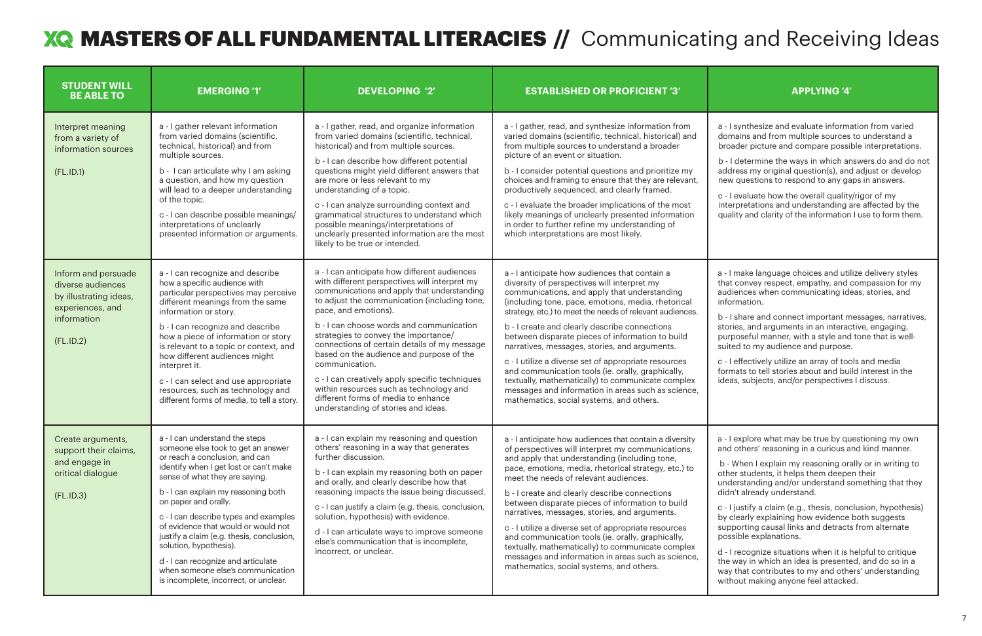## MASTERS OF ALL FUNDAMENTAL LITERACIES **//** Communicating and Receiving Ideas

- I synthesize and evaluate information from varied lomains and from multiple sources to understand a broader picture and compare possible interpretations.

b - I determine the ways in which answers do and do not ddress my original question(s), and adjust or develop ew questions to respond to any gaps in answers.

b - I share and connect important messages, narratives, tories, and arguments in an interactive, engaging, urposeful manner, with a style and tone that is welluited to my audience and purpose.

- I effectively utilize an array of tools and media ormats to tell stories about and build interest in the deas, subjects, and/or perspectives I discuss.

- I explore what may be true by questioning my own nd others' reasoning in a curious and kind manner.

 b - When I explain my reasoning orally or in writing to ther students, it helps them deepen their nderstanding and/or understand something that they idn't already understand.

| <b>STUDENT WILL</b><br><b>BE ABLE TO</b>                                                                           | <b>EMERGING '1'</b>                                                                                                                                                                                                                                                                                                                                                                                                                                                                                                          | <b>DEVELOPING '2'</b>                                                                                                                                                                                                                                                                                                                                                                                                                                                                                                                                                                             | <b>ESTABLISHED OR PROFICIENT '3'</b>                                                                                                                                                                                                                                                                                                                                                                                                                                                                                                                                                                                                                                                     | <b>APPLYING '4'</b>                                                                                                                                                                                                                                                                                                                                                                                                                                                                                                                                |
|--------------------------------------------------------------------------------------------------------------------|------------------------------------------------------------------------------------------------------------------------------------------------------------------------------------------------------------------------------------------------------------------------------------------------------------------------------------------------------------------------------------------------------------------------------------------------------------------------------------------------------------------------------|---------------------------------------------------------------------------------------------------------------------------------------------------------------------------------------------------------------------------------------------------------------------------------------------------------------------------------------------------------------------------------------------------------------------------------------------------------------------------------------------------------------------------------------------------------------------------------------------------|------------------------------------------------------------------------------------------------------------------------------------------------------------------------------------------------------------------------------------------------------------------------------------------------------------------------------------------------------------------------------------------------------------------------------------------------------------------------------------------------------------------------------------------------------------------------------------------------------------------------------------------------------------------------------------------|----------------------------------------------------------------------------------------------------------------------------------------------------------------------------------------------------------------------------------------------------------------------------------------------------------------------------------------------------------------------------------------------------------------------------------------------------------------------------------------------------------------------------------------------------|
| Interpret meaning<br>from a variety of<br>information sources<br>(FL.ID.1)                                         | a - I gather relevant information<br>from varied domains (scientific,<br>technical, historical) and from<br>multiple sources.<br>b - I can articulate why I am asking<br>a question, and how my question<br>will lead to a deeper understanding<br>of the topic.<br>c - I can describe possible meanings/<br>interpretations of unclearly<br>presented information or arguments.                                                                                                                                             | a - I gather, read, and organize information<br>from varied domains (scientific, technical,<br>historical) and from multiple sources.<br>b - I can describe how different potential<br>questions might yield different answers that<br>are more or less relevant to my<br>understanding of a topic.<br>c - I can analyze surrounding context and<br>grammatical structures to understand which<br>possible meanings/interpretations of<br>unclearly presented information are the most<br>likely to be true or intended.                                                                          | a - I gather, read, and synthesize information from<br>varied domains (scientific, technical, historical) and<br>from multiple sources to understand a broader<br>picture of an event or situation.<br>b - I consider potential questions and prioritize my<br>choices and framing to ensure that they are relevant,<br>productively sequenced, and clearly framed.<br>c - I evaluate the broader implications of the most<br>likely meanings of unclearly presented information<br>in order to further refine my understanding of<br>which interpretations are most likely.                                                                                                             | a - I synthesize and evaluate informa<br>domains and from multiple sources<br>broader picture and compare possil<br>b - I determine the ways in which ar<br>address my original question(s), and<br>new questions to respond to any ga<br>c - I evaluate how the overall quality<br>interpretations and understanding a<br>quality and clarity of the information                                                                                                                                                                                  |
| Inform and persuade<br>diverse audiences<br>by illustrating ideas,<br>experiences, and<br>information<br>(FL.ID.2) | a - I can recognize and describe<br>how a specific audience with<br>particular perspectives may perceive<br>different meanings from the same<br>information or story.<br>b - I can recognize and describe<br>how a piece of information or story<br>is relevant to a topic or context, and<br>how different audiences might<br>interpret it.<br>c - I can select and use appropriate<br>resources, such as technology and<br>different forms of media, to tell a story.                                                      | a - I can anticipate how different audiences<br>with different perspectives will interpret my<br>communications and apply that understanding<br>to adjust the communication (including tone,<br>pace, and emotions).<br>b - I can choose words and communication<br>strategies to convey the importance/<br>connections of certain details of my message<br>based on the audience and purpose of the<br>communication.<br>c - I can creatively apply specific techniques<br>within resources such as technology and<br>different forms of media to enhance<br>understanding of stories and ideas. | a - I anticipate how audiences that contain a<br>diversity of perspectives will interpret my<br>communications, and apply that understanding<br>(including tone, pace, emotions, media, rhetorical<br>strategy, etc.) to meet the needs of relevant audiences.<br>b - I create and clearly describe connections<br>between disparate pieces of information to build<br>narratives, messages, stories, and arguments.<br>c - I utilize a diverse set of appropriate resources<br>and communication tools (ie. orally, graphically,<br>textually, mathematically) to communicate complex<br>messages and information in areas such as science,<br>mathematics, social systems, and others. | a - I make language choices and util<br>that convey respect, empathy, and<br>audiences when communicating ide<br>information.<br>b - I share and connect important m<br>stories, and arguments in an interac<br>purposeful manner, with a style and<br>suited to my audience and purpose<br>c - I effectively utilize an array of too<br>formats to tell stories about and bui<br>ideas, subjects, and/or perspectives                                                                                                                             |
| Create arguments,<br>support their claims,<br>and engage in<br>critical dialogue<br>(FL.ID.3)                      | a - I can understand the steps<br>someone else took to get an answer<br>or reach a conclusion, and can<br>identify when I get lost or can't make<br>sense of what they are saying.<br>b - I can explain my reasoning both<br>on paper and orally.<br>c - I can describe types and examples<br>of evidence that would or would not<br>justify a claim (e.g. thesis, conclusion,<br>solution, hypothesis).<br>d - I can recognize and articulate<br>when someone else's communication<br>is incomplete, incorrect, or unclear. | a - I can explain my reasoning and question<br>others' reasoning in a way that generates<br>further discussion.<br>b - I can explain my reasoning both on paper<br>and orally, and clearly describe how that<br>reasoning impacts the issue being discussed.<br>c - I can justify a claim (e.g. thesis, conclusion,<br>solution, hypothesis) with evidence.<br>d - I can articulate ways to improve someone<br>else's communication that is incomplete,<br>incorrect, or unclear.                                                                                                                 | a - I anticipate how audiences that contain a diversity<br>of perspectives will interpret my communications,<br>and apply that understanding (including tone,<br>pace, emotions, media, rhetorical strategy, etc.) to<br>meet the needs of relevant audiences.<br>b - I create and clearly describe connections<br>between disparate pieces of information to build<br>narratives, messages, stories, and arguments.<br>c - I utilize a diverse set of appropriate resources<br>and communication tools (ie. orally, graphically,<br>textually, mathematically) to communicate complex<br>messages and information in areas such as science,<br>mathematics, social systems, and others. | a - I explore what may be true by qu<br>and others' reasoning in a curious a<br>b - When I explain my reasoning ora<br>other students, it helps them deepe<br>understanding and/or understand s<br>didn't already understand.<br>c - I justify a claim (e.g., thesis, cond<br>by clearly explaining how evidence<br>supporting causal links and detracts<br>possible explanations.<br>d - I recognize situations when it is I<br>the way in which an idea is presente<br>way that contributes to my and othe<br>without making anyone feel attacke |

c - I evaluate how the overall quality/rigor of my nterpretations and understanding are affected by the quality and clarity of the information I use to form them.

- I make language choices and utilize delivery styles hat convey respect, empathy, and compassion for my udiences when communicating ideas, stories, and **nformation.** 

c - I justify a claim (e.g., thesis, conclusion, hypothesis) y clearly explaining how evidence both suggests upporting causal links and detracts from alternate possible explanations.

- I recognize situations when it is helpful to critique he way in which an idea is presented, and do so in a ay that contributes to my and others' understanding vithout making anyone feel attacked.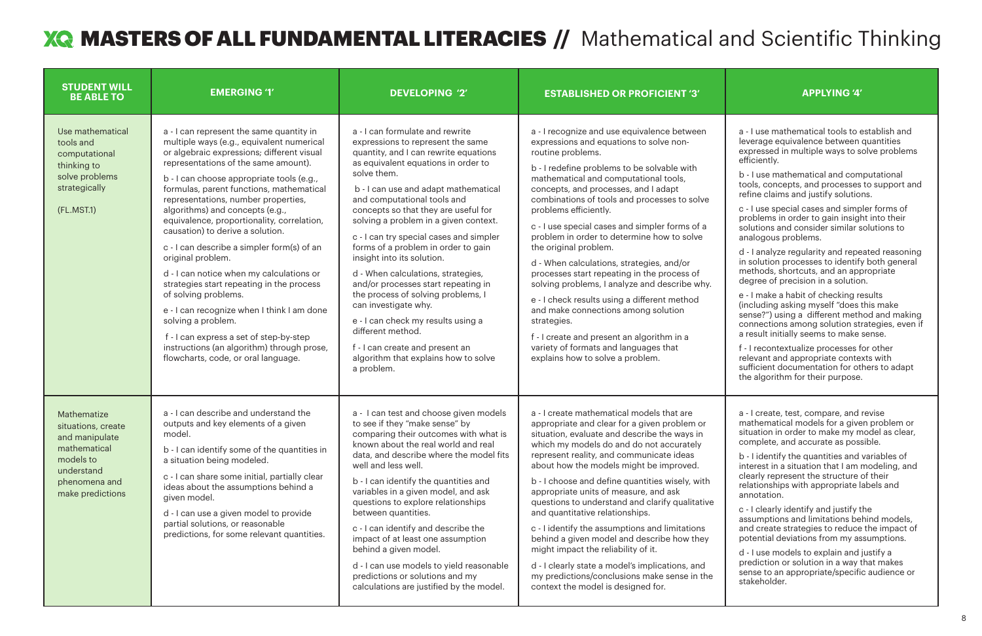| <b>STUDENT WILL</b><br><b>BE ABLE TO</b>                                                                                            | <b>EMERGING '1'</b>                                                                                                                                                                                                                                                                                                                                                                                                                                                                                                                                                                                                                                                                                                                                                                                                      | <b>DEVELOPING '2'</b>                                                                                                                                                                                                                                                                                                                                                                                                                                                                                                                                                                                                                                                                                                                      | <b>ESTABLISHED OR PROFICIENT '3'</b>                                                                                                                                                                                                                                                                                                                                                                                                                                                                                                                                                                                                                                                                                                                                                                                        | <b>APPLYING '4'</b>                                                                                                                                                                                                                                                                                                                                                                                                                                                                                                                                                                                                                                                                                                                                                                                                                                |
|-------------------------------------------------------------------------------------------------------------------------------------|--------------------------------------------------------------------------------------------------------------------------------------------------------------------------------------------------------------------------------------------------------------------------------------------------------------------------------------------------------------------------------------------------------------------------------------------------------------------------------------------------------------------------------------------------------------------------------------------------------------------------------------------------------------------------------------------------------------------------------------------------------------------------------------------------------------------------|--------------------------------------------------------------------------------------------------------------------------------------------------------------------------------------------------------------------------------------------------------------------------------------------------------------------------------------------------------------------------------------------------------------------------------------------------------------------------------------------------------------------------------------------------------------------------------------------------------------------------------------------------------------------------------------------------------------------------------------------|-----------------------------------------------------------------------------------------------------------------------------------------------------------------------------------------------------------------------------------------------------------------------------------------------------------------------------------------------------------------------------------------------------------------------------------------------------------------------------------------------------------------------------------------------------------------------------------------------------------------------------------------------------------------------------------------------------------------------------------------------------------------------------------------------------------------------------|----------------------------------------------------------------------------------------------------------------------------------------------------------------------------------------------------------------------------------------------------------------------------------------------------------------------------------------------------------------------------------------------------------------------------------------------------------------------------------------------------------------------------------------------------------------------------------------------------------------------------------------------------------------------------------------------------------------------------------------------------------------------------------------------------------------------------------------------------|
| Use mathematical<br>tools and<br>computational<br>thinking to<br>solve problems<br>strategically<br>(FL.MST.1)                      | a - I can represent the same quantity in<br>multiple ways (e.g., equivalent numerical<br>or algebraic expressions; different visual<br>representations of the same amount).<br>b - I can choose appropriate tools (e.g.,<br>formulas, parent functions, mathematical<br>representations, number properties,<br>algorithms) and concepts (e.g.,<br>equivalence, proportionality, correlation,<br>causation) to derive a solution.<br>c - I can describe a simpler form(s) of an<br>original problem.<br>d - I can notice when my calculations or<br>strategies start repeating in the process<br>of solving problems.<br>e - I can recognize when I think I am done<br>solving a problem.<br>f - I can express a set of step-by-step<br>instructions (an algorithm) through prose,<br>flowcharts, code, or oral language. | a - I can formulate and rewrite<br>expressions to represent the same<br>quantity, and I can rewrite equations<br>as equivalent equations in order to<br>solve them.<br>b - I can use and adapt mathematical<br>and computational tools and<br>concepts so that they are useful for<br>solving a problem in a given context.<br>c - I can try special cases and simpler<br>forms of a problem in order to gain<br>insight into its solution.<br>d - When calculations, strategies,<br>and/or processes start repeating in<br>the process of solving problems, I<br>can investigate why.<br>e - I can check my results using a<br>different method.<br>f - I can create and present an<br>algorithm that explains how to solve<br>a problem. | a - I recognize and use equivalence between<br>expressions and equations to solve non-<br>routine problems.<br>b - I redefine problems to be solvable with<br>mathematical and computational tools,<br>concepts, and processes, and I adapt<br>combinations of tools and processes to solve<br>problems efficiently.<br>c - I use special cases and simpler forms of a<br>problem in order to determine how to solve<br>the original problem.<br>d - When calculations, strategies, and/or<br>processes start repeating in the process of<br>solving problems, I analyze and describe why.<br>e - I check results using a different method<br>and make connections among solution<br>strategies.<br>f - I create and present an algorithm in a<br>variety of formats and languages that<br>explains how to solve a problem. | a - I use mathematical tools to a<br>leverage equivalence between<br>expressed in multiple ways to s<br>efficiently.<br>b - I use mathematical and com<br>tools, concepts, and processes<br>refine claims and justify solutio<br>c - I use special cases and simp<br>problems in order to gain insigh<br>solutions and consider similar s<br>analogous problems.<br>d - I analyze regularity and repe<br>in solution processes to identify<br>methods, shortcuts, and an app<br>degree of precision in a solution<br>e - I make a habit of checking re<br>(including asking myself "does t<br>sense?") using a different meth<br>connections among solution sti<br>a result initially seems to make<br>f - I recontextualize processes f<br>relevant and appropriate conter<br>sufficient documentation for ot<br>the algorithm for their purpose. |
| Mathematize<br>situations, create<br>and manipulate<br>mathematical<br>models to<br>understand<br>phenomena and<br>make predictions | a - I can describe and understand the<br>outputs and key elements of a given<br>model.<br>b - I can identify some of the quantities in<br>a situation being modeled.<br>c - I can share some initial, partially clear<br>ideas about the assumptions behind a<br>given model.<br>d - I can use a given model to provide<br>partial solutions, or reasonable<br>predictions, for some relevant quantities.                                                                                                                                                                                                                                                                                                                                                                                                                | a - I can test and choose given models<br>to see if they "make sense" by<br>comparing their outcomes with what is<br>known about the real world and real<br>data, and describe where the model fits<br>well and less well.<br>b - I can identify the quantities and<br>variables in a given model, and ask<br>questions to explore relationships<br>between quantities.<br>c - I can identify and describe the<br>impact of at least one assumption<br>behind a given model.<br>d - I can use models to yield reasonable<br>predictions or solutions and my<br>calculations are justified by the model.                                                                                                                                    | a - I create mathematical models that are<br>appropriate and clear for a given problem or<br>situation, evaluate and describe the ways in<br>which my models do and do not accurately<br>represent reality, and communicate ideas<br>about how the models might be improved.<br>b - I choose and define quantities wisely, with<br>appropriate units of measure, and ask<br>questions to understand and clarify qualitative<br>and quantitative relationships.<br>c - I identify the assumptions and limitations<br>behind a given model and describe how they<br>might impact the reliability of it.<br>d - I clearly state a model's implications, and<br>my predictions/conclusions make sense in the<br>context the model is designed for.                                                                              | a - I create, test, compare, and<br>mathematical models for a give<br>situation in order to make my m<br>complete, and accurate as poss<br>b - I identify the quantities and<br>interest in a situation that I am<br>clearly represent the structure<br>relationships with appropriate I<br>annotation.<br>c - I clearly identify and justify t<br>assumptions and limitations be<br>and create strategies to reduce<br>potential deviations from my as<br>d - I use models to explain and<br>prediction or solution in a way t<br>sense to an appropriate/specifi-<br>stakeholder.                                                                                                                                                                                                                                                                |

a - I use mathematical tools to establish and leverage equivalence between quantities expressed in multiple ways to solve problems efficiently.

b - I use mathematical and computational tools, concepts, and processes to support and refine claims and justify solutions.

c - I use special cases and simpler forms of problems in order to gain insight into their solutions and consider similar solutions to analogous problems.

d - I analyze regularity and repeated reasoning in solution processes to identify both general methods, shortcuts, and an appropriate degree of precision in a solution.

e - I make a habit of checking results (including asking myself "does this make sense?") using a different method and making connections among solution strategies, even if a result initially seems to make sense.

f - I recontextualize processes for other relevant and appropriate contexts with sufficient documentation for others to adapt the algorithm for their purpose.

a - I create, test, compare, and revise mathematical models for a given problem or situation in order to make my model as clear, complete, and accurate as possible.

b - I identify the quantities and variables of interest in a situation that I am modeling, and clearly represent the structure of their relationships with appropriate labels and annotation.

c - I clearly identify and justify the assumptions and limitations behind models, and create strategies to reduce the impact of potential deviations from my assumptions.

d - I use models to explain and justify a prediction or solution in a way that makes sense to an appropriate/specific audience or stakeholder.

## MASTERS OF ALL FUNDAMENTAL LITERACIES **//** Mathematical and Scientific Thinking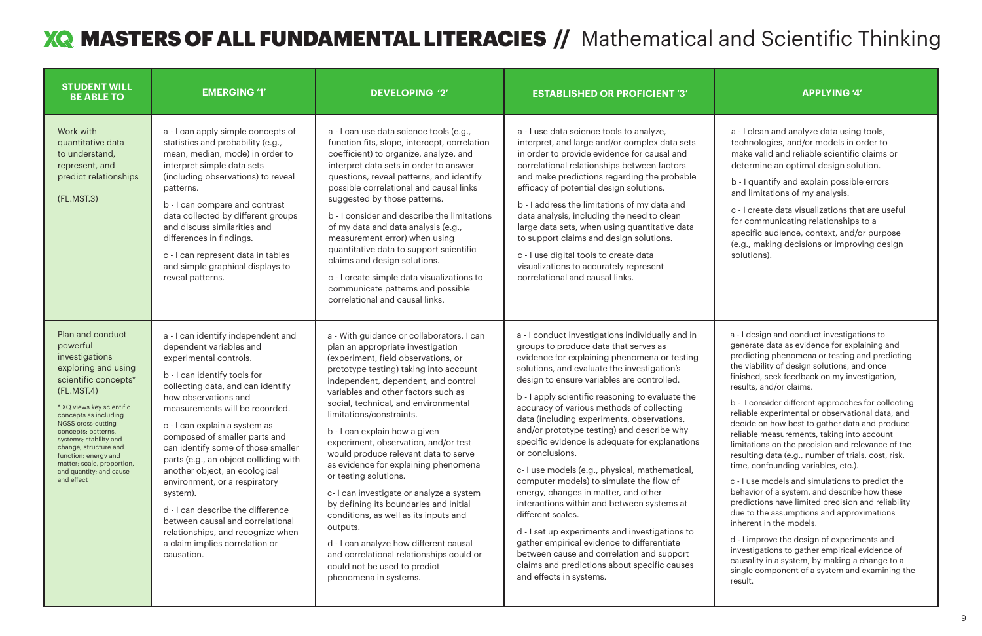## MASTERS OF ALL FUNDAMENTAL LITERACIES **//** Mathematical and Scientific Thinking

a - I clean and analyze data using tools, technologies, and/or models in order to make valid and reliable scientific claims or determine an optimal design solution.

b - I quantify and explain possible errors and limitations of my analysis.

| <b>STUDENT WILL</b><br><b>BE ABLE TO</b>                                                                                                                                                                                                                                                                                                                         | <b>EMERGING '1'</b>                                                                                                                                                                                                                                                                                                                                                                                                                                                                                                                                                                                                 | <b>DEVELOPING '2'</b>                                                                                                                                                                                                                                                                                                                                                                                                                                                                                                                                                                                                                                                                                                                                                                        | <b>ESTABLISHED OR PROFICIENT '3'</b>                                                                                                                                                                                                                                                                                                                                                                                                                                                                                                                                                                                                                                                                                                                                                                                                                                                                                                      | <b>APPLYING '4'</b>                                                                                                                                                                                                                                                                                                                                                                                                                                                                                                                                                                                                                                                                                                                                                                                                                                                       |
|------------------------------------------------------------------------------------------------------------------------------------------------------------------------------------------------------------------------------------------------------------------------------------------------------------------------------------------------------------------|---------------------------------------------------------------------------------------------------------------------------------------------------------------------------------------------------------------------------------------------------------------------------------------------------------------------------------------------------------------------------------------------------------------------------------------------------------------------------------------------------------------------------------------------------------------------------------------------------------------------|----------------------------------------------------------------------------------------------------------------------------------------------------------------------------------------------------------------------------------------------------------------------------------------------------------------------------------------------------------------------------------------------------------------------------------------------------------------------------------------------------------------------------------------------------------------------------------------------------------------------------------------------------------------------------------------------------------------------------------------------------------------------------------------------|-------------------------------------------------------------------------------------------------------------------------------------------------------------------------------------------------------------------------------------------------------------------------------------------------------------------------------------------------------------------------------------------------------------------------------------------------------------------------------------------------------------------------------------------------------------------------------------------------------------------------------------------------------------------------------------------------------------------------------------------------------------------------------------------------------------------------------------------------------------------------------------------------------------------------------------------|---------------------------------------------------------------------------------------------------------------------------------------------------------------------------------------------------------------------------------------------------------------------------------------------------------------------------------------------------------------------------------------------------------------------------------------------------------------------------------------------------------------------------------------------------------------------------------------------------------------------------------------------------------------------------------------------------------------------------------------------------------------------------------------------------------------------------------------------------------------------------|
| Work with<br>quantitative data<br>to understand,<br>represent, and<br>predict relationships<br>(FL.MST.3)                                                                                                                                                                                                                                                        | a - I can apply simple concepts of<br>statistics and probability (e.g.,<br>mean, median, mode) in order to<br>interpret simple data sets<br>(including observations) to reveal<br>patterns.<br>b - I can compare and contrast<br>data collected by different groups<br>and discuss similarities and<br>differences in findings.<br>c - I can represent data in tables<br>and simple graphical displays to<br>reveal patterns.                                                                                                                                                                                       | a - I can use data science tools (e.g.,<br>function fits, slope, intercept, correlation<br>coefficient) to organize, analyze, and<br>interpret data sets in order to answer<br>questions, reveal patterns, and identify<br>possible correlational and causal links<br>suggested by those patterns.<br>b - I consider and describe the limitations<br>of my data and data analysis (e.g.,<br>measurement error) when using<br>quantitative data to support scientific<br>claims and design solutions.<br>c - I create simple data visualizations to<br>communicate patterns and possible<br>correlational and causal links.                                                                                                                                                                   | a - I use data science tools to analyze,<br>interpret, and large and/or complex data sets<br>in order to provide evidence for causal and<br>correlational relationships between factors<br>and make predictions regarding the probable<br>efficacy of potential design solutions.<br>b - I address the limitations of my data and<br>data analysis, including the need to clean<br>large data sets, when using quantitative data<br>to support claims and design solutions.<br>c - I use digital tools to create data<br>visualizations to accurately represent<br>correlational and causal links.                                                                                                                                                                                                                                                                                                                                        | a - I clean and analyze data using<br>technologies, and/or models in o<br>make valid and reliable scientific<br>determine an optimal design solu<br>b - I quantify and explain possible<br>and limitations of my analysis.<br>c - I create data visualizations tha<br>for communicating relationships<br>specific audience, context, and/o<br>(e.g., making decisions or improv<br>solutions).                                                                                                                                                                                                                                                                                                                                                                                                                                                                            |
| Plan and conduct<br>powerful<br>investigations<br>exploring and using<br>scientific concepts*<br>(FL.MST.4)<br>* XQ views key scientific<br>concepts as including<br>NGSS cross-cutting<br>concepts: patterns,<br>systems; stability and<br>change; structure and<br>function; energy and<br>matter; scale, proportion,<br>and quantity; and cause<br>and effect | a - I can identify independent and<br>dependent variables and<br>experimental controls.<br>b - I can identify tools for<br>collecting data, and can identify<br>how observations and<br>measurements will be recorded.<br>c - I can explain a system as<br>composed of smaller parts and<br>can identify some of those smaller<br>parts (e.g., an object colliding with<br>another object, an ecological<br>environment, or a respiratory<br>system).<br>d - I can describe the difference<br>between causal and correlational<br>relationships, and recognize when<br>a claim implies correlation or<br>causation. | a - With guidance or collaborators, I can<br>plan an appropriate investigation<br>(experiment, field observations, or<br>prototype testing) taking into account<br>independent, dependent, and control<br>variables and other factors such as<br>social, technical, and environmental<br>limitations/constraints.<br>b - I can explain how a given<br>experiment, observation, and/or test<br>would produce relevant data to serve<br>as evidence for explaining phenomena<br>or testing solutions.<br>c-I can investigate or analyze a system<br>by defining its boundaries and initial<br>conditions, as well as its inputs and<br>outputs.<br>d - I can analyze how different causal<br>and correlational relationships could or<br>could not be used to predict<br>phenomena in systems. | a - I conduct investigations individually and in<br>groups to produce data that serves as<br>evidence for explaining phenomena or testing<br>solutions, and evaluate the investigation's<br>design to ensure variables are controlled.<br>b - I apply scientific reasoning to evaluate the<br>accuracy of various methods of collecting<br>data (including experiments, observations,<br>and/or prototype testing) and describe why<br>specific evidence is adequate for explanations<br>or conclusions.<br>c- I use models (e.g., physical, mathematical,<br>computer models) to simulate the flow of<br>energy, changes in matter, and other<br>interactions within and between systems at<br>different scales.<br>d - I set up experiments and investigations to<br>gather empirical evidence to differentiate<br>between cause and correlation and support<br>claims and predictions about specific causes<br>and effects in systems. | a - I design and conduct investigati<br>generate data as evidence for expla<br>predicting phenomena or testing a<br>the viability of design solutions, and<br>finished, seek feedback on my inve<br>results, and/or claims.<br>b - I consider different approaches<br>reliable experimental or observatio<br>decide on how best to gather data<br>reliable measurements, taking into<br>limitations on the precision and rele<br>resulting data (e.g., number of trials<br>time, confounding variables, etc.).<br>c - I use models and simulations to<br>behavior of a system, and describe<br>predictions have limited precision a<br>due to the assumptions and approx<br>inherent in the models.<br>d - I improve the design of experim<br>investigations to gather empirical e<br>causality in a system, by making a o<br>single component of a system and<br>result. |

c - I create data visualizations that are useful for communicating relationships to a specific audience, context, and/or purpose (e.g., making decisions or improving design solutions).

a - I design and conduct investigations to generate data as evidence for explaining and predicting phenomena or testing and predicting the viability of design solutions, and once finished, seek feedback on my investigation, results, and/or claims.

b - I consider different approaches for collecting reliable experimental or observational data, and decide on how best to gather data and produce reliable measurements, taking into account limitations on the precision and relevance of the resulting data (e.g., number of trials, cost, risk, time, confounding variables, etc.).

c - I use models and simulations to predict the behavior of a system, and describe how these predictions have limited precision and reliability due to the assumptions and approximations inherent in the models.

d - I improve the design of experiments and investigations to gather empirical evidence of causality in a system, by making a change to a single component of a system and examining the result.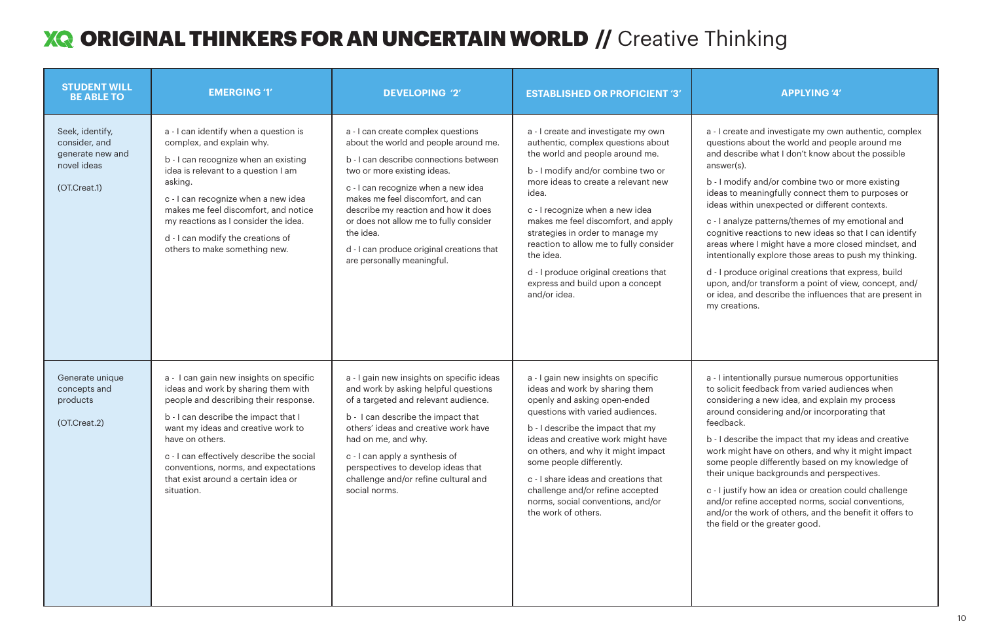## **XQ ORIGINAL THINKERS FOR AN UNCERTAIN WORLD //** Creative Thinking

| <b>STUDENT WILL</b><br><b>BE ABLE TO</b>                                            | <b>EMERGING '1'</b>                                                                                                                                                                                                                                                                                                                                                | <b>DEVELOPING '2'</b>                                                                                                                                                                                                                                                                                                                                                                                      | <b>ESTABLISHED OR PROFICIENT '3'</b>                                                                                                                                                                                                                                                                                                                                                                                                                                 | <b>APPLYING '4'</b>                                                                                                                                                                                                                                                                                                                                                                                                                                                                                                                       |
|-------------------------------------------------------------------------------------|--------------------------------------------------------------------------------------------------------------------------------------------------------------------------------------------------------------------------------------------------------------------------------------------------------------------------------------------------------------------|------------------------------------------------------------------------------------------------------------------------------------------------------------------------------------------------------------------------------------------------------------------------------------------------------------------------------------------------------------------------------------------------------------|----------------------------------------------------------------------------------------------------------------------------------------------------------------------------------------------------------------------------------------------------------------------------------------------------------------------------------------------------------------------------------------------------------------------------------------------------------------------|-------------------------------------------------------------------------------------------------------------------------------------------------------------------------------------------------------------------------------------------------------------------------------------------------------------------------------------------------------------------------------------------------------------------------------------------------------------------------------------------------------------------------------------------|
| Seek, identify,<br>consider, and<br>generate new and<br>novel ideas<br>(OT.Creat.1) | a - I can identify when a question is<br>complex, and explain why.<br>b - I can recognize when an existing<br>idea is relevant to a question I am<br>asking.<br>c - I can recognize when a new idea<br>makes me feel discomfort, and notice<br>my reactions as I consider the idea.<br>d - I can modify the creations of<br>others to make something new.          | a - I can create complex questions<br>about the world and people around me.<br>b - I can describe connections between<br>two or more existing ideas.<br>c - I can recognize when a new idea<br>makes me feel discomfort, and can<br>describe my reaction and how it does<br>or does not allow me to fully consider<br>the idea.<br>d - I can produce original creations that<br>are personally meaningful. | a - I create and investigate my own<br>authentic, complex questions about<br>the world and people around me.<br>b - I modify and/or combine two or<br>more ideas to create a relevant new<br>idea.<br>c - I recognize when a new idea<br>makes me feel discomfort, and apply<br>strategies in order to manage my<br>reaction to allow me to fully consider<br>the idea.<br>d - I produce original creations that<br>express and build upon a concept<br>and/or idea. | a - I create and investigate my owr<br>questions about the world and peo<br>and describe what I don't know ab<br>answer(s).<br>b - I modify and/or combine two o<br>ideas to meaningfully connect the<br>ideas within unexpected or differe<br>c - I analyze patterns/themes of m<br>cognitive reactions to new ideas s<br>areas where I might have a more c<br>intentionally explore those areas to<br>d - I produce original creations tha<br>upon, and/or transform a point of<br>or idea, and describe the influence<br>my creations. |
| Generate unique<br>concepts and<br>products<br>(OT.Creat.2)                         | a - I can gain new insights on specific<br>ideas and work by sharing them with<br>people and describing their response.<br>b - I can describe the impact that I<br>want my ideas and creative work to<br>have on others.<br>c - I can effectively describe the social<br>conventions, norms, and expectations<br>that exist around a certain idea or<br>situation. | a - I gain new insights on specific ideas<br>and work by asking helpful questions<br>of a targeted and relevant audience.<br>b - I can describe the impact that<br>others' ideas and creative work have<br>had on me, and why.<br>c - I can apply a synthesis of<br>perspectives to develop ideas that<br>challenge and/or refine cultural and<br>social norms.                                            | a - I gain new insights on specific<br>ideas and work by sharing them<br>openly and asking open-ended<br>questions with varied audiences.<br>b - I describe the impact that my<br>ideas and creative work might have<br>on others, and why it might impact<br>some people differently.<br>c - I share ideas and creations that<br>challenge and/or refine accepted<br>norms, social conventions, and/or<br>the work of others.                                       | a - I intentionally pursue numerous<br>to solicit feedback from varied aud<br>considering a new idea, and expla<br>around considering and/or incorpe<br>feedback.<br>b - I describe the impact that my io<br>work might have on others, and w<br>some people differently based on<br>their unique backgrounds and per<br>c - I justify how an idea or creation<br>and/or refine accepted norms, soc<br>and/or the work of others, and the<br>the field or the greater good.                                                               |

create and investigate my own authentic, complex stions about the world and people around me describe what I don't know about the possible /er(s).

modify and/or combine two or more existing it to meaningfully connect them to purposes or i within unexpected or different contexts.

analyze patterns/themes of my emotional and hitive reactions to new ideas so that I can identify s where I might have a more closed mindset, and itionally explore those areas to push my thinking.

produce original creations that express, build  $\mu$ , and/or transform a point of view, concept, and/ ea, and describe the influences that are present in reations.

ntentionally pursue numerous opportunities licit feedback from varied audiences when idering a new idea, and explain my process nd considering and/or incorporating that back.

describe the impact that my ideas and creative might have on others, and why it might impact e people differently based on my knowledge of unique backgrounds and perspectives.

justify how an idea or creation could challenge or refine accepted norms, social conventions, or the work of others, and the benefit it offers to ield or the greater good.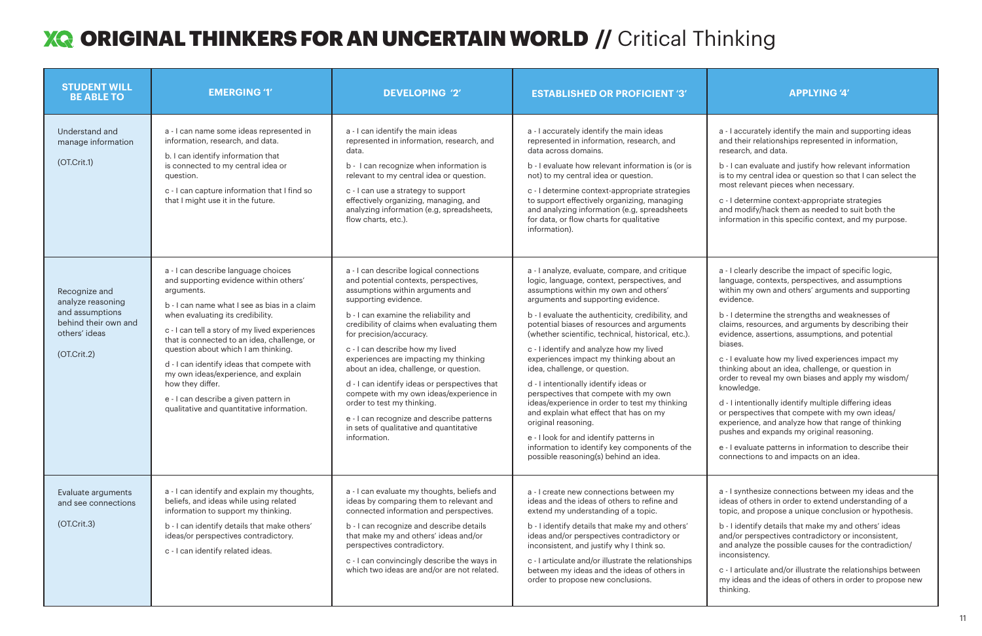a - I accurately identify the main and supporting ideas and their relationships represented in information, esearch, and data.

c - I determine context-appropriate strategies and modify/hack them as needed to suit both the nformation in this specific context, and my purpose.

1 - I clearly describe the impact of specific logic, language, contexts, perspectives, and assumptions within my own and others' arguments and supporting evidence.

c - I evaluate how my lived experiences impact my hinking about an idea, challenge, or question in order to reveal my own biases and apply my wisdom/ nowledge.

a - I synthesize connections between my ideas and the deas of others in order to extend understanding of a opic, and propose a unique conclusion or hypothesis.

b - I identify details that make my and others' ideas and/or perspectives contradictory or inconsistent, and analyze the possible causes for the contradiction/ nconsistency.

c - I articulate and/or illustrate the relationships between my ideas and the ideas of others in order to propose new hinking.

## **XQ ORIGINAL THINKERS FOR AN UNCERTAIN WORLD // Critical Thinking**

| <b>STUDENT WILL</b><br><b>BE ABLE TO</b>                                                                      | <b>EMERGING '1'</b>                                                                                                                                                                                                                                                                                                                                                                                                                                                                                                     | <b>DEVELOPING '2'</b>                                                                                                                                                                                                                                                                                                                                                                                                                                                                                                                                                                                                 | <b>ESTABLISHED OR PROFICIENT '3'</b>                                                                                                                                                                                                                                                                                                                                                                                                                                                                                                                                                                                                                                                                                                                                                                   | <b>APPLYING '4'</b>                                                                                                                                                                                                                                                                                                                                                                                                                                                                                                                                                                                                                                              |
|---------------------------------------------------------------------------------------------------------------|-------------------------------------------------------------------------------------------------------------------------------------------------------------------------------------------------------------------------------------------------------------------------------------------------------------------------------------------------------------------------------------------------------------------------------------------------------------------------------------------------------------------------|-----------------------------------------------------------------------------------------------------------------------------------------------------------------------------------------------------------------------------------------------------------------------------------------------------------------------------------------------------------------------------------------------------------------------------------------------------------------------------------------------------------------------------------------------------------------------------------------------------------------------|--------------------------------------------------------------------------------------------------------------------------------------------------------------------------------------------------------------------------------------------------------------------------------------------------------------------------------------------------------------------------------------------------------------------------------------------------------------------------------------------------------------------------------------------------------------------------------------------------------------------------------------------------------------------------------------------------------------------------------------------------------------------------------------------------------|------------------------------------------------------------------------------------------------------------------------------------------------------------------------------------------------------------------------------------------------------------------------------------------------------------------------------------------------------------------------------------------------------------------------------------------------------------------------------------------------------------------------------------------------------------------------------------------------------------------------------------------------------------------|
| Understand and<br>manage information<br>(OT.Crit.1)                                                           | a - I can name some ideas represented in<br>information, research, and data.<br>b. I can identify information that<br>is connected to my central idea or<br>question.<br>c - I can capture information that I find so<br>that I might use it in the future.                                                                                                                                                                                                                                                             | a - I can identify the main ideas<br>represented in information, research, and<br>data.<br>b - I can recognize when information is<br>relevant to my central idea or question.<br>c - I can use a strategy to support<br>effectively organizing, managing, and<br>analyzing information (e.g, spreadsheets,<br>flow charts, etc.).                                                                                                                                                                                                                                                                                    | a - I accurately identify the main ideas<br>represented in information, research, and<br>data across domains.<br>b - I evaluate how relevant information is (or is<br>not) to my central idea or question.<br>c - I determine context-appropriate strategies<br>to support effectively organizing, managing<br>and analyzing information (e.g, spreadsheets<br>for data, or flow charts for qualitative<br>information).                                                                                                                                                                                                                                                                                                                                                                               | a - I accurately identify the main and<br>and their relationships represented i<br>research, and data.<br>b - I can evaluate and justify how rele<br>is to my central idea or question so t<br>most relevant pieces when necessar<br>c - I determine context-appropriate s<br>and modify/hack them as needed to<br>information in this specific context, a                                                                                                                                                                                                                                                                                                       |
| Recognize and<br>analyze reasoning<br>and assumptions<br>behind their own and<br>others' ideas<br>(OT.Crit.2) | a - I can describe language choices<br>and supporting evidence within others'<br>arguments.<br>b - I can name what I see as bias in a claim<br>when evaluating its credibility.<br>c - I can tell a story of my lived experiences<br>that is connected to an idea, challenge, or<br>question about which I am thinking.<br>d - I can identify ideas that compete with<br>my own ideas/experience, and explain<br>how they differ.<br>e - I can describe a given pattern in<br>qualitative and quantitative information. | a - I can describe logical connections<br>and potential contexts, perspectives,<br>assumptions within arguments and<br>supporting evidence.<br>b - I can examine the reliability and<br>credibility of claims when evaluating them<br>for precision/accuracy.<br>c - I can describe how my lived<br>experiences are impacting my thinking<br>about an idea, challenge, or question.<br>d - I can identify ideas or perspectives that<br>compete with my own ideas/experience in<br>order to test my thinking.<br>e - I can recognize and describe patterns<br>in sets of qualitative and quantitative<br>information. | a - I analyze, evaluate, compare, and critique<br>logic, language, context, perspectives, and<br>assumptions within my own and others'<br>arguments and supporting evidence.<br>b - I evaluate the authenticity, credibility, and<br>potential biases of resources and arguments<br>(whether scientific, technical, historical, etc.).<br>c - I identify and analyze how my lived<br>experiences impact my thinking about an<br>idea, challenge, or question.<br>d - I intentionally identify ideas or<br>perspectives that compete with my own<br>ideas/experience in order to test my thinking<br>and explain what effect that has on my<br>original reasoning.<br>e - I look for and identify patterns in<br>information to identify key components of the<br>possible reasoning(s) behind an idea. | a - I clearly describe the impact of sp<br>language, contexts, perspectives, an<br>within my own and others' argument<br>evidence.<br>b - I determine the strengths and we<br>claims, resources, and arguments by<br>evidence, assertions, assumptions, a<br>biases.<br>c - I evaluate how my lived experiend<br>thinking about an idea, challenge, or<br>order to reveal my own biases and ap<br>knowledge.<br>d - I intentionally identify multiple dif<br>or perspectives that compete with m<br>experience, and analyze how that rai<br>pushes and expands my original reas<br>e - I evaluate patterns in information<br>connections to and impacts on an id |
| Evaluate arguments<br>and see connections<br>(OT.Crit.3)                                                      | a - I can identify and explain my thoughts,<br>beliefs, and ideas while using related<br>information to support my thinking.<br>b - I can identify details that make others'<br>ideas/or perspectives contradictory.<br>c - I can identify related ideas.                                                                                                                                                                                                                                                               | a - I can evaluate my thoughts, beliefs and<br>ideas by comparing them to relevant and<br>connected information and perspectives.<br>b - I can recognize and describe details<br>that make my and others' ideas and/or<br>perspectives contradictory.<br>c - I can convincingly describe the ways in<br>which two ideas are and/or are not related.                                                                                                                                                                                                                                                                   | a - I create new connections between my<br>ideas and the ideas of others to refine and<br>extend my understanding of a topic.<br>b - I identify details that make my and others'<br>ideas and/or perspectives contradictory or<br>inconsistent, and justify why I think so.<br>c - I articulate and/or illustrate the relationships<br>between my ideas and the ideas of others in<br>order to propose new conclusions.                                                                                                                                                                                                                                                                                                                                                                                | a - I synthesize connections betweer<br>ideas of others in order to extend un<br>topic, and propose a unique conclus<br>b - I identify details that make my and<br>and/or perspectives contradictory or<br>and analyze the possible causes for t<br>inconsistency.<br>c - I articulate and/or illustrate the re<br>my ideas and the ideas of others in c<br>thinking.                                                                                                                                                                                                                                                                                            |

b - I can evaluate and justify how relevant information is to my central idea or question so that I can select the most relevant pieces when necessary.

b - I determine the strengths and weaknesses of claims, resources, and arguments by describing their evidence, assertions, assumptions, and potential biases.

d - I intentionally identify multiple differing ideas or perspectives that compete with my own ideas/ experience, and analyze how that range of thinking pushes and expands my original reasoning.

e - I evaluate patterns in information to describe their connections to and impacts on an idea.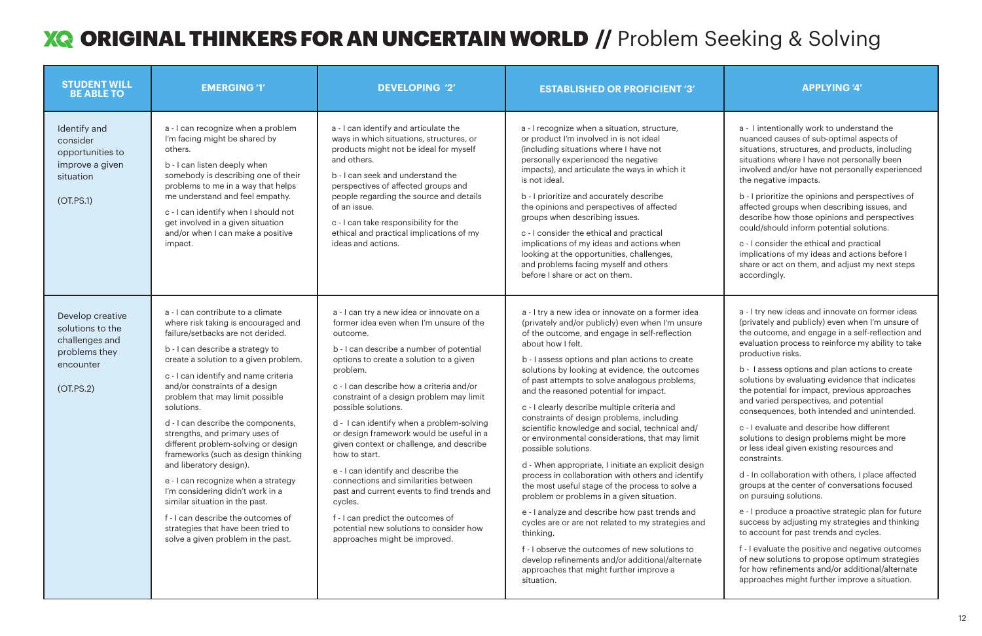## ORIGINAL THINKERS FOR AN UNCERTAIN WORLD **//** Problem Seeking & Solving

| <b>STUDENT WILL</b><br><b>BE ABLE TO</b>                                                          | <b>EMERGING '1'</b>                                                                                                                                                                                                                                                                                                                                                                                                                                                                                                                                                                                                                                                                                                                   | <b>DEVELOPING '2'</b>                                                                                                                                                                                                                                                                                                                                                                                                                                                                                                                                                                                                                                                                                                             | <b>ESTABLISHED OR PROFICIENT '3'</b>                                                                                                                                                                                                                                                                                                                                                                                                                                                                                                                                                                                                                                                                                                                                                                                                                                                                                                                                                                                                                                                                 | <b>APPLYING '4'</b>                                                                                                                                                                                                                                                                                                                                                                                                                                                                                                                                                                                                                                                                                                                                                                                                                                              |
|---------------------------------------------------------------------------------------------------|---------------------------------------------------------------------------------------------------------------------------------------------------------------------------------------------------------------------------------------------------------------------------------------------------------------------------------------------------------------------------------------------------------------------------------------------------------------------------------------------------------------------------------------------------------------------------------------------------------------------------------------------------------------------------------------------------------------------------------------|-----------------------------------------------------------------------------------------------------------------------------------------------------------------------------------------------------------------------------------------------------------------------------------------------------------------------------------------------------------------------------------------------------------------------------------------------------------------------------------------------------------------------------------------------------------------------------------------------------------------------------------------------------------------------------------------------------------------------------------|------------------------------------------------------------------------------------------------------------------------------------------------------------------------------------------------------------------------------------------------------------------------------------------------------------------------------------------------------------------------------------------------------------------------------------------------------------------------------------------------------------------------------------------------------------------------------------------------------------------------------------------------------------------------------------------------------------------------------------------------------------------------------------------------------------------------------------------------------------------------------------------------------------------------------------------------------------------------------------------------------------------------------------------------------------------------------------------------------|------------------------------------------------------------------------------------------------------------------------------------------------------------------------------------------------------------------------------------------------------------------------------------------------------------------------------------------------------------------------------------------------------------------------------------------------------------------------------------------------------------------------------------------------------------------------------------------------------------------------------------------------------------------------------------------------------------------------------------------------------------------------------------------------------------------------------------------------------------------|
| Identify and<br>consider<br>opportunities to<br>improve a given<br>situation<br>(OT.PS.1)         | a - I can recognize when a problem<br>I'm facing might be shared by<br>others.<br>b - I can listen deeply when<br>somebody is describing one of their<br>problems to me in a way that helps<br>me understand and feel empathy.<br>c - I can identify when I should not<br>get involved in a given situation<br>and/or when I can make a positive<br>impact.                                                                                                                                                                                                                                                                                                                                                                           | a - I can identify and articulate the<br>ways in which situations, structures, or<br>products might not be ideal for myself<br>and others.<br>b - I can seek and understand the<br>perspectives of affected groups and<br>people regarding the source and details<br>of an issue.<br>c - I can take responsibility for the<br>ethical and practical implications of my<br>ideas and actions.                                                                                                                                                                                                                                                                                                                                      | a - I recognize when a situation, structure,<br>or product I'm involved in is not ideal<br>(including situations where I have not<br>personally experienced the negative<br>impacts), and articulate the ways in which it<br>is not ideal.<br>b - I prioritize and accurately describe<br>the opinions and perspectives of affected<br>groups when describing issues.<br>c - I consider the ethical and practical<br>implications of my ideas and actions when<br>looking at the opportunities, challenges,<br>and problems facing myself and others<br>before I share or act on them.                                                                                                                                                                                                                                                                                                                                                                                                                                                                                                               | a - I intentionally work to unders<br>nuanced causes of sub-optimal a<br>situations, structures, and produ<br>situations where I have not perso<br>involved and/or have not persona<br>the negative impacts.<br>b - I prioritize the opinions and p<br>affected groups when describing<br>describe how those opinions and<br>could/should inform potential so<br>c - I consider the ethical and prad<br>implications of my ideas and acti<br>share or act on them, and adjust<br>accordingly.                                                                                                                                                                                                                                                                                                                                                                    |
| Develop creative<br>solutions to the<br>challenges and<br>problems they<br>encounter<br>(OT.PS.2) | a - I can contribute to a climate<br>where risk taking is encouraged and<br>failure/setbacks are not derided.<br>b - I can describe a strategy to<br>create a solution to a given problem.<br>c - I can identify and name criteria<br>and/or constraints of a design<br>problem that may limit possible<br>solutions.<br>d - I can describe the components,<br>strengths, and primary uses of<br>different problem-solving or design<br>frameworks (such as design thinking<br>and liberatory design).<br>e - I can recognize when a strategy<br>I'm considering didn't work in a<br>similar situation in the past.<br>f - I can describe the outcomes of<br>strategies that have been tried to<br>solve a given problem in the past. | a - I can try a new idea or innovate on a<br>former idea even when I'm unsure of the<br>outcome.<br>b - I can describe a number of potential<br>options to create a solution to a given<br>problem.<br>c - I can describe how a criteria and/or<br>constraint of a design problem may limit<br>possible solutions.<br>d - I can identify when a problem-solving<br>or design framework would be useful in a<br>given context or challenge, and describe<br>how to start.<br>e - I can identify and describe the<br>connections and similarities between<br>past and current events to find trends and<br>cycles.<br>f - I can predict the outcomes of<br>potential new solutions to consider how<br>approaches might be improved. | a - I try a new idea or innovate on a former idea<br>(privately and/or publicly) even when I'm unsure<br>of the outcome, and engage in self-reflection<br>about how I felt.<br>b - I assess options and plan actions to create<br>solutions by looking at evidence, the outcomes<br>of past attempts to solve analogous problems,<br>and the reasoned potential for impact.<br>c - I clearly describe multiple criteria and<br>constraints of design problems, including<br>scientific knowledge and social, technical and/<br>or environmental considerations, that may limit<br>possible solutions.<br>d - When appropriate, I initiate an explicit design<br>process in collaboration with others and identify<br>the most useful stage of the process to solve a<br>problem or problems in a given situation.<br>e - I analyze and describe how past trends and<br>cycles are or are not related to my strategies and<br>thinking.<br>f - I observe the outcomes of new solutions to<br>develop refinements and/or additional/alternate<br>approaches that might further improve a<br>situation. | a - I try new ideas and innovate o<br>(privately and publicly) even whe<br>the outcome, and engage in a se<br>evaluation process to reinforce n<br>productive risks.<br>b - I assess options and plan act<br>solutions by evaluating evidence<br>the potential for impact, previous<br>and varied perspectives, and pot<br>consequences, both intended an<br>c - I evaluate and describe how c<br>solutions to design problems mig<br>or less ideal given existing resoul<br>constraints.<br>d - In collaboration with others, I<br>groups at the center of conversa<br>on pursuing solutions.<br>e - I produce a proactive strategi<br>success by adjusting my strategi<br>to account for past trends and cy<br>f - I evaluate the positive and neg<br>of new solutions to propose optii<br>for how refinements and/or addit<br>approaches might further improv |

a - I intentionally work to understand the nuanced causes of sub-optimal aspects of situations, structures, and products, including situations where I have not personally been involved and/or have not personally experienced the negative impacts.

b - I prioritize the opinions and perspectives of affected groups when describing issues, and describe how those opinions and perspectives could/should inform potential solutions.

c - I consider the ethical and practical implications of my ideas and actions before I share or act on them, and adjust my next steps accordingly.

a - I try new ideas and innovate on former ideas (privately and publicly) even when I'm unsure of the outcome, and engage in a self-reflection and evaluation process to reinforce my ability to take productive risks.

b - I assess options and plan actions to create solutions by evaluating evidence that indicates the potential for impact, previous approaches and varied perspectives, and potential consequences, both intended and unintended.

c - I evaluate and describe how different solutions to design problems might be more or less ideal given existing resources and constraints.

d - In collaboration with others, I place affected groups at the center of conversations focused on pursuing solutions.

e - I produce a proactive strategic plan for future success by adjusting my strategies and thinking to account for past trends and cycles.

f - I evaluate the positive and negative outcomes of new solutions to propose optimum strategies for how refinements and/or additional/alternate approaches might further improve a situation.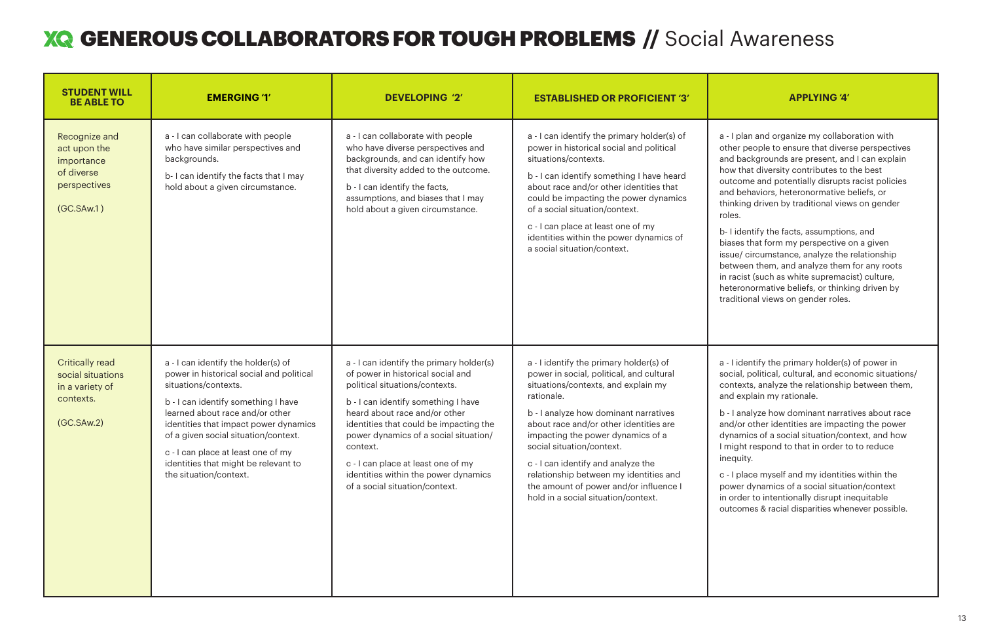b- I identify the facts, assumptions, and biases that form my perspective on a given ssue/ circumstance, analyze the relationship between them, and analyze them for any roots in racist (such as white supremacist) culture, heteronormative beliefs, or thinking driven by raditional views on gender roles.

b - I analyze how dominant narratives about race and/or other identities are impacting the power dynamics of a social situation/context, and how might respond to that in order to to reduce nequity.

## **XQ GENEROUS COLLABORATORS FOR TOUGH PROBLEMS //** Social Awareness

| <b>STUDENT WILL</b><br><b>BE ABLE TO</b>                                                  | <b>EMERGING '1'</b>                                                                                                                                                                                                                                                                                                                                                        | <b>DEVELOPING '2'</b>                                                                                                                                                                                                                                                                                                                                                                                  | <b>ESTABLISHED OR PROFICIENT '3'</b>                                                                                                                                                                                                                                                                                                                                                                                                                           | <b>APPLYING '4'</b>                                                                                                                                                                                                                                                                                                                                                                                                                                                                                                                      |
|-------------------------------------------------------------------------------------------|----------------------------------------------------------------------------------------------------------------------------------------------------------------------------------------------------------------------------------------------------------------------------------------------------------------------------------------------------------------------------|--------------------------------------------------------------------------------------------------------------------------------------------------------------------------------------------------------------------------------------------------------------------------------------------------------------------------------------------------------------------------------------------------------|----------------------------------------------------------------------------------------------------------------------------------------------------------------------------------------------------------------------------------------------------------------------------------------------------------------------------------------------------------------------------------------------------------------------------------------------------------------|------------------------------------------------------------------------------------------------------------------------------------------------------------------------------------------------------------------------------------------------------------------------------------------------------------------------------------------------------------------------------------------------------------------------------------------------------------------------------------------------------------------------------------------|
| Recognize and<br>act upon the<br>importance<br>of diverse<br>perspectives<br>(GC.SAw.1)   | a - I can collaborate with people<br>who have similar perspectives and<br>backgrounds.<br>b-I can identify the facts that I may<br>hold about a given circumstance.                                                                                                                                                                                                        | a - I can collaborate with people<br>who have diverse perspectives and<br>backgrounds, and can identify how<br>that diversity added to the outcome.<br>b - I can identify the facts,<br>assumptions, and biases that I may<br>hold about a given circumstance.                                                                                                                                         | a - I can identify the primary holder(s) of<br>power in historical social and political<br>situations/contexts.<br>b - I can identify something I have heard<br>about race and/or other identities that<br>could be impacting the power dynamics<br>of a social situation/context.<br>c - I can place at least one of my<br>identities within the power dynamics of<br>a social situation/context.                                                             | a - I plan and organize my collabo<br>other people to ensure that diver<br>and backgrounds are present, an<br>how that diversity contributes to<br>outcome and potentially disrupts<br>and behaviors, heteronormative I<br>thinking driven by traditional viev<br>roles.<br>b-I identify the facts, assumptior<br>biases that form my perspective<br>issue/ circumstance, analyze the<br>between them, and analyze them<br>in racist (such as white supremad<br>heteronormative beliefs, or thinki<br>traditional views on gender roles. |
| <b>Critically read</b><br>social situations<br>in a variety of<br>contexts.<br>(GC.SAw.2) | a - I can identify the holder(s) of<br>power in historical social and political<br>situations/contexts.<br>b - I can identify something I have<br>learned about race and/or other<br>identities that impact power dynamics<br>of a given social situation/context.<br>c - I can place at least one of my<br>identities that might be relevant to<br>the situation/context. | a - I can identify the primary holder(s)<br>of power in historical social and<br>political situations/contexts.<br>b - I can identify something I have<br>heard about race and/or other<br>identities that could be impacting the<br>power dynamics of a social situation/<br>context.<br>c - I can place at least one of my<br>identities within the power dynamics<br>of a social situation/context. | a - I identify the primary holder(s) of<br>power in social, political, and cultural<br>situations/contexts, and explain my<br>rationale.<br>b - I analyze how dominant narratives<br>about race and/or other identities are<br>impacting the power dynamics of a<br>social situation/context.<br>c - I can identify and analyze the<br>relationship between my identities and<br>the amount of power and/or influence I<br>hold in a social situation/context. | a - I identify the primary holder(s)<br>social, political, cultural, and eco<br>contexts, analyze the relationship<br>and explain my rationale.<br>b - I analyze how dominant narrat<br>and/or other identities are impac<br>dynamics of a social situation/co<br>I might respond to that in order t<br>inequity.<br>c - I place myself and my identitie<br>power dynamics of a social situat<br>in order to intentionally disrupt ir<br>outcomes & racial disparities whe                                                               |



a - I plan and organize my collaboration with other people to ensure that diverse perspectives and backgrounds are present, and I can explain how that diversity contributes to the best outcome and potentially disrupts racist policies and behaviors, heteronormative beliefs, or thinking driven by traditional views on gender roles.

a - I identify the primary holder(s) of power in social, political, cultural, and economic situations/ contexts, analyze the relationship between them, and explain my rationale.

c - I place myself and my identities within the power dynamics of a social situation/context in order to intentionally disrupt inequitable outcomes & racial disparities whenever possible.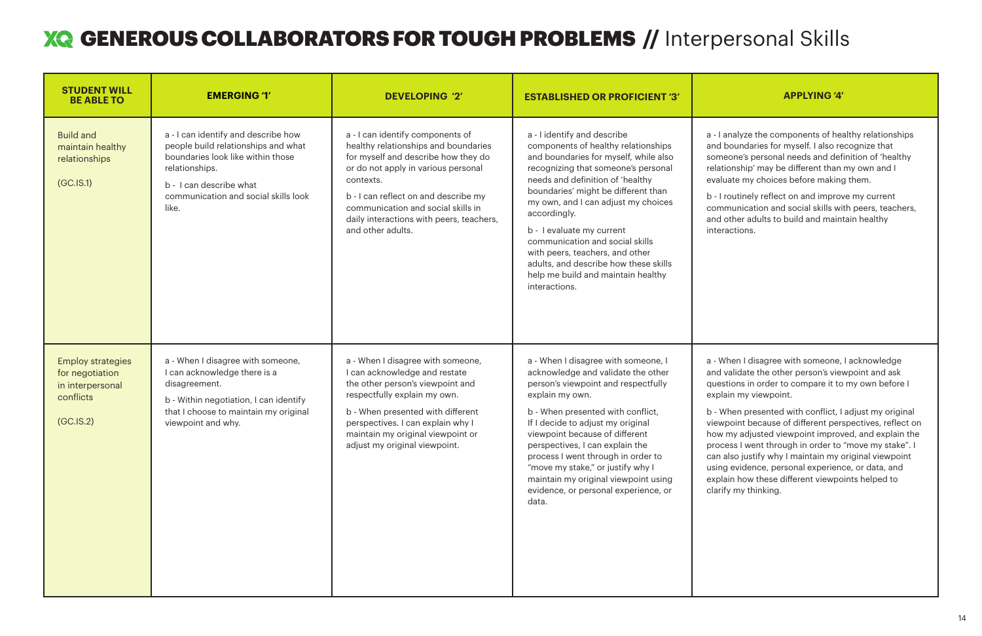| <b>STUDENT WILL</b><br><b>BE ABLE TO</b>                                                  | <b>EMERGING '1'</b>                                                                                                                                                                                           | <b>DEVELOPING '2'</b>                                                                                                                                                                                                                                                                                              | <b>ESTABLISHED OR PROFICIENT '3'</b>                                                                                                                                                                                                                                                                                                                                                                                                                                                    | <b>APPLYING '4'</b>                                                                                                                                                                                                                                                                                                                                                                                                                           |
|-------------------------------------------------------------------------------------------|---------------------------------------------------------------------------------------------------------------------------------------------------------------------------------------------------------------|--------------------------------------------------------------------------------------------------------------------------------------------------------------------------------------------------------------------------------------------------------------------------------------------------------------------|-----------------------------------------------------------------------------------------------------------------------------------------------------------------------------------------------------------------------------------------------------------------------------------------------------------------------------------------------------------------------------------------------------------------------------------------------------------------------------------------|-----------------------------------------------------------------------------------------------------------------------------------------------------------------------------------------------------------------------------------------------------------------------------------------------------------------------------------------------------------------------------------------------------------------------------------------------|
| <b>Build and</b><br>maintain healthy<br>relationships<br>(GC.IS.1)                        | a - I can identify and describe how<br>people build relationships and what<br>boundaries look like within those<br>relationships.<br>b - I can describe what<br>communication and social skills look<br>like. | a - I can identify components of<br>healthy relationships and boundaries<br>for myself and describe how they do<br>or do not apply in various personal<br>contexts.<br>b - I can reflect on and describe my<br>communication and social skills in<br>daily interactions with peers, teachers,<br>and other adults. | a - I identify and describe<br>components of healthy relationships<br>and boundaries for myself, while also<br>recognizing that someone's personal<br>needs and definition of 'healthy<br>boundaries' might be different than<br>my own, and I can adjust my choices<br>accordingly.<br>b - I evaluate my current<br>communication and social skills<br>with peers, teachers, and other<br>adults, and describe how these skills<br>help me build and maintain healthy<br>interactions. | a - I analyze the components of hea<br>and boundaries for myself. I also re<br>someone's personal needs and def<br>relationship' may be different than<br>evaluate my choices before making<br>b - I routinely reflect on and improv<br>communication and social skills wi<br>and other adults to build and main<br>interactions.                                                                                                             |
| <b>Employ strategies</b><br>for negotiation<br>in interpersonal<br>conflicts<br>(GC.IS.2) | a - When I disagree with someone,<br>I can acknowledge there is a<br>disagreement.<br>b - Within negotiation, I can identify<br>that I choose to maintain my original<br>viewpoint and why.                   | a - When I disagree with someone,<br>I can acknowledge and restate<br>the other person's viewpoint and<br>respectfully explain my own.<br>b - When presented with different<br>perspectives. I can explain why I<br>maintain my original viewpoint or<br>adjust my original viewpoint.                             | a - When I disagree with someone, I<br>acknowledge and validate the other<br>person's viewpoint and respectfully<br>explain my own.<br>b - When presented with conflict,<br>If I decide to adjust my original<br>viewpoint because of different<br>perspectives, I can explain the<br>process I went through in order to<br>"move my stake," or justify why I<br>maintain my original viewpoint using<br>evidence, or personal experience, or<br>data.                                  | a - When I disagree with someone,<br>and validate the other person's view<br>questions in order to compare it to<br>explain my viewpoint.<br>b - When presented with conflict, I<br>viewpoint because of different pers<br>how my adjusted viewpoint improv<br>process I went through in order to<br>can also justify why I maintain my o<br>using evidence, personal experiend<br>explain how these different viewpo<br>clarify my thinking. |

analyze the components of healthy relationships ooundaries for myself. I also recognize that eone's personal needs and definition of 'healthy onship' may be different than my own and I ate my choices before making them.

outinely reflect on and improve my current munication and social skills with peers, teachers, other adults to build and maintain healthy actions.

hen I disagree with someone, I acknowledge validate the other person's viewpoint and ask tions in order to compare it to my own before I in my viewpoint.

hen presented with conflict, I adjust my original point because of different perspectives, reflect on my adjusted viewpoint improved, and explain the ess I went through in order to "move my stake". I also justify why I maintain my original viewpoint evidence, personal experience, or data, and in how these different viewpoints helped to y my thinking.

## GENEROUS COLLABORATORS FOR TOUGH PROBLEMS **//** Interpersonal Skills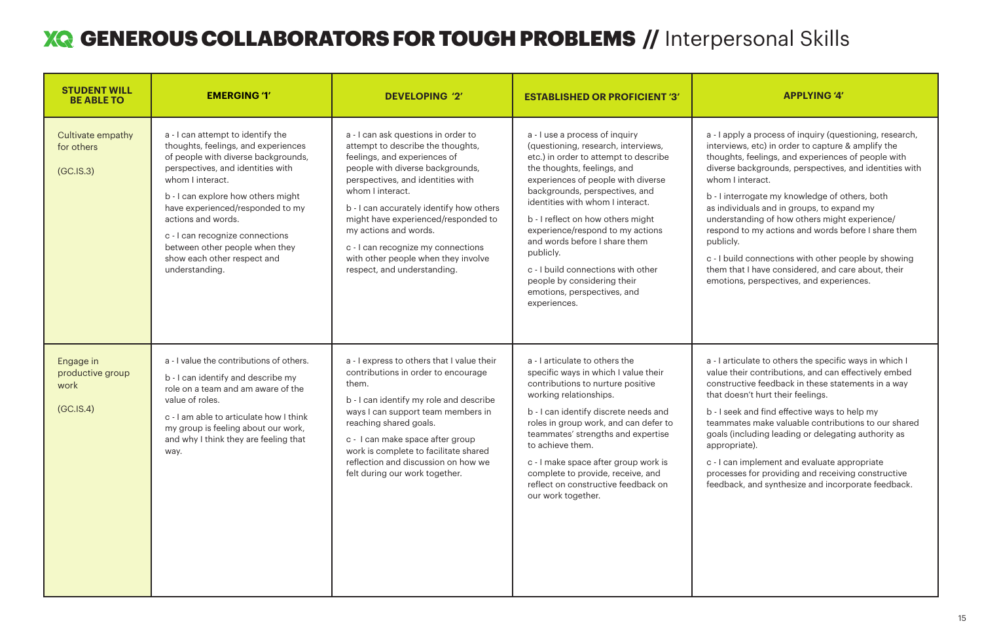| <b>STUDENT WILL</b><br><b>BE ABLE TO</b>           | <b>EMERGING '1'</b>                                                                                                                                                                                                                                                                                                                                                                            | <b>DEVELOPING '2'</b>                                                                                                                                                                                                                                                                                                                                                                                                         | <b>ESTABLISHED OR PROFICIENT '3'</b>                                                                                                                                                                                                                                                                                                                                                                                                                                                                 | <b>APPLYING '4'</b>                                                                                                                                                                                                                                                                                                                                                                                                                                                  |
|----------------------------------------------------|------------------------------------------------------------------------------------------------------------------------------------------------------------------------------------------------------------------------------------------------------------------------------------------------------------------------------------------------------------------------------------------------|-------------------------------------------------------------------------------------------------------------------------------------------------------------------------------------------------------------------------------------------------------------------------------------------------------------------------------------------------------------------------------------------------------------------------------|------------------------------------------------------------------------------------------------------------------------------------------------------------------------------------------------------------------------------------------------------------------------------------------------------------------------------------------------------------------------------------------------------------------------------------------------------------------------------------------------------|----------------------------------------------------------------------------------------------------------------------------------------------------------------------------------------------------------------------------------------------------------------------------------------------------------------------------------------------------------------------------------------------------------------------------------------------------------------------|
| Cultivate empathy<br>for others<br>(GC.IS.3)       | a - I can attempt to identify the<br>thoughts, feelings, and experiences<br>of people with diverse backgrounds,<br>perspectives, and identities with<br>whom I interact.<br>b - I can explore how others might<br>have experienced/responded to my<br>actions and words.<br>c - I can recognize connections<br>between other people when they<br>show each other respect and<br>understanding. | a - I can ask questions in order to<br>attempt to describe the thoughts,<br>feelings, and experiences of<br>people with diverse backgrounds,<br>perspectives, and identities with<br>whom I interact.<br>b - I can accurately identify how others<br>might have experienced/responded to<br>my actions and words.<br>c - I can recognize my connections<br>with other people when they involve<br>respect, and understanding. | a - I use a process of inquiry<br>(questioning, research, interviews,<br>etc.) in order to attempt to describe<br>the thoughts, feelings, and<br>experiences of people with diverse<br>backgrounds, perspectives, and<br>identities with whom I interact.<br>b - I reflect on how others might<br>experience/respond to my actions<br>and words before I share them<br>publicly.<br>c - I build connections with other<br>people by considering their<br>emotions, perspectives, and<br>experiences. | a - I apply a process of inquiry (que<br>interviews, etc) in order to capture<br>thoughts, feelings, and experience<br>diverse backgrounds, perspectives<br>whom I interact.<br>b - I interrogate my knowledge of o<br>as individuals and in groups, to exp<br>understanding of how others migh<br>respond to my actions and words b<br>publicly.<br>c - I build connections with other p<br>them that I have considered, and c<br>emotions, perspectives, and exper |
| Engage in<br>productive group<br>work<br>(GC.IS.4) | a - I value the contributions of others.<br>b - I can identify and describe my<br>role on a team and am aware of the<br>value of roles.<br>c - I am able to articulate how I think<br>my group is feeling about our work,<br>and why I think they are feeling that<br>way.                                                                                                                     | a - I express to others that I value their<br>contributions in order to encourage<br>them.<br>b - I can identify my role and describe<br>ways I can support team members in<br>reaching shared goals.<br>c - I can make space after group<br>work is complete to facilitate shared<br>reflection and discussion on how we<br>felt during our work together.                                                                   | a - I articulate to others the<br>specific ways in which I value their<br>contributions to nurture positive<br>working relationships.<br>b - I can identify discrete needs and<br>roles in group work, and can defer to<br>teammates' strengths and expertise<br>to achieve them.<br>c - I make space after group work is<br>complete to provide, receive, and<br>reflect on constructive feedback on<br>our work together.                                                                          | a - I articulate to others the specific<br>value their contributions, and can<br>constructive feedback in these stat<br>that doesn't hurt their feelings.<br>b - I seek and find effective ways to<br>teammates make valuable contribu<br>goals (including leading or delegat<br>appropriate).<br>c - I can implement and evaluate a<br>processes for providing and receiv<br>feedback, and synthesize and inco                                                      |

apply a process of inquiry (questioning, research, views, etc) in order to capture & amplify the ghts, feelings, and experiences of people with rse backgrounds, perspectives, and identities with m I interact.

nterrogate my knowledge of others, both dividuals and in groups, to expand my erstanding of how others might experience/ ond to my actions and words before I share them icly.

build connections with other people by showing that I have considered, and care about, their tions, perspectives, and experiences.

articulate to others the specific ways in which I their contributions, and can effectively embed tructive feedback in these statements in a way doesn't hurt their feelings.

seek and find effective ways to help my imates make valuable contributions to our shared s (including leading or delegating authority as opriate).

can implement and evaluate appropriate esses for providing and receiving constructive back, and synthesize and incorporate feedback.

## GENEROUS COLLABORATORS FOR TOUGH PROBLEMS **//** Interpersonal Skills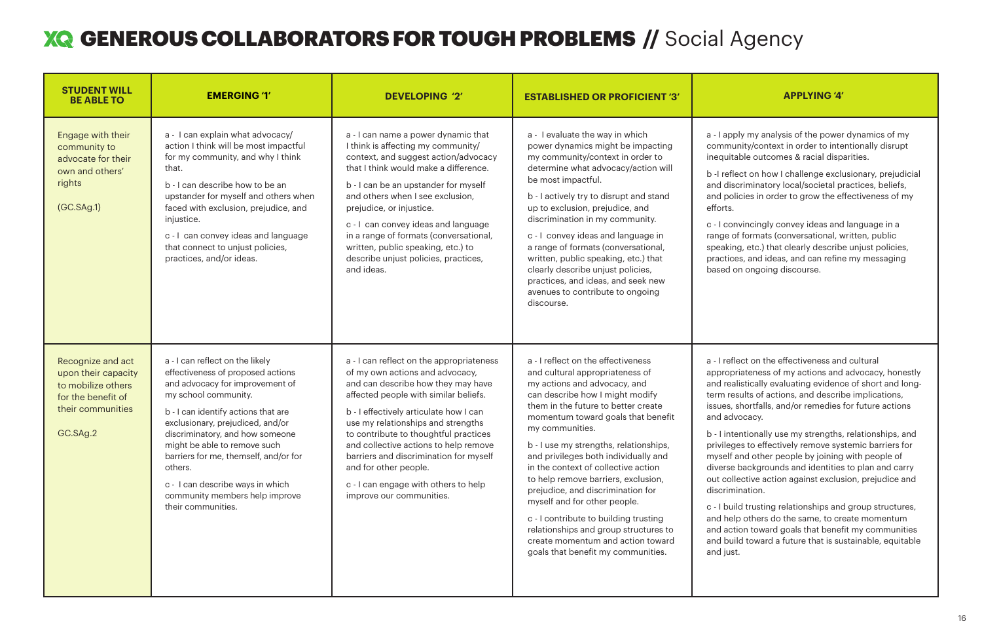## **XQ GENEROUS COLLABORATORS FOR TOUGH PROBLEMS // Social Agency**

| <b>STUDENT WILL</b><br><b>BE ABLE TO</b>                                                                              | <b>EMERGING '1'</b>                                                                                                                                                                                                                                                                                                                                                                                                           | <b>DEVELOPING '2'</b>                                                                                                                                                                                                                                                                                                                                                                                                                                               | <b>ESTABLISHED OR PROFICIENT '3'</b>                                                                                                                                                                                                                                                                                                                                                                                                                                                                                                                                                                                                       | <b>APPLYING '4'</b>                                                                                                                                                                                                                                                                                                                                                                                                                                                                                                                                                                                                     |
|-----------------------------------------------------------------------------------------------------------------------|-------------------------------------------------------------------------------------------------------------------------------------------------------------------------------------------------------------------------------------------------------------------------------------------------------------------------------------------------------------------------------------------------------------------------------|---------------------------------------------------------------------------------------------------------------------------------------------------------------------------------------------------------------------------------------------------------------------------------------------------------------------------------------------------------------------------------------------------------------------------------------------------------------------|--------------------------------------------------------------------------------------------------------------------------------------------------------------------------------------------------------------------------------------------------------------------------------------------------------------------------------------------------------------------------------------------------------------------------------------------------------------------------------------------------------------------------------------------------------------------------------------------------------------------------------------------|-------------------------------------------------------------------------------------------------------------------------------------------------------------------------------------------------------------------------------------------------------------------------------------------------------------------------------------------------------------------------------------------------------------------------------------------------------------------------------------------------------------------------------------------------------------------------------------------------------------------------|
| Engage with their<br>community to<br>advocate for their<br>own and others'<br>rights<br>(GC.SAg.1)                    | a - I can explain what advocacy/<br>action I think will be most impactful<br>for my community, and why I think<br>that.<br>b - I can describe how to be an<br>upstander for myself and others when<br>faced with exclusion, prejudice, and<br>injustice.<br>c - I can convey ideas and language<br>that connect to unjust policies,<br>practices, and/or ideas.                                                               | a - I can name a power dynamic that<br>I think is affecting my community/<br>context, and suggest action/advocacy<br>that I think would make a difference.<br>b - I can be an upstander for myself<br>and others when I see exclusion,<br>prejudice, or injustice.<br>c - I can convey ideas and language<br>in a range of formats (conversational,<br>written, public speaking, etc.) to<br>describe unjust policies, practices,<br>and ideas.                     | a - I evaluate the way in which<br>power dynamics might be impacting<br>my community/context in order to<br>determine what advocacy/action will<br>be most impactful.<br>b - I actively try to disrupt and stand<br>up to exclusion, prejudice, and<br>discrimination in my community.<br>c - I convey ideas and language in<br>a range of formats (conversational,<br>written, public speaking, etc.) that<br>clearly describe unjust policies,<br>practices, and ideas, and seek new<br>avenues to contribute to ongoing<br>discourse.                                                                                                   | a - I apply my analysis of the power<br>community/context in order to inte<br>inequitable outcomes & racial disp<br>b -I reflect on how I challenge exclu<br>and discriminatory local/societal p<br>and policies in order to grow the ef<br>efforts.<br>c - I convincingly convey ideas and<br>range of formats (conversational, v<br>speaking, etc.) that clearly describe<br>practices, and ideas, and can refin<br>based on ongoing discourse.                                                                                                                                                                       |
| Recognize and act<br>upon their capacity<br>to mobilize others<br>for the benefit of<br>their communities<br>GC.SAg.2 | a - I can reflect on the likely<br>effectiveness of proposed actions<br>and advocacy for improvement of<br>my school community.<br>b - I can identify actions that are<br>exclusionary, prejudiced, and/or<br>discriminatory, and how someone<br>might be able to remove such<br>barriers for me, themself, and/or for<br>others.<br>c - I can describe ways in which<br>community members help improve<br>their communities. | a - I can reflect on the appropriateness<br>of my own actions and advocacy,<br>and can describe how they may have<br>affected people with similar beliefs.<br>b - I effectively articulate how I can<br>use my relationships and strengths<br>to contribute to thoughtful practices<br>and collective actions to help remove<br>barriers and discrimination for myself<br>and for other people.<br>c - I can engage with others to help<br>improve our communities. | a - I reflect on the effectiveness<br>and cultural appropriateness of<br>my actions and advocacy, and<br>can describe how I might modify<br>them in the future to better create<br>momentum toward goals that benefit<br>my communities.<br>b - I use my strengths, relationships,<br>and privileges both individually and<br>in the context of collective action<br>to help remove barriers, exclusion,<br>prejudice, and discrimination for<br>myself and for other people.<br>c - I contribute to building trusting<br>relationships and group structures to<br>create momentum and action toward<br>goals that benefit my communities. | a - I reflect on the effectiveness and<br>appropriateness of my actions and<br>and realistically evaluating evidenc<br>term results of actions, and describ<br>issues, shortfalls, and/or remedies<br>and advocacy.<br>b - I intentionally use my strengths,<br>privileges to effectively remove sys<br>myself and other people by joining<br>diverse backgrounds and identities<br>out collective action against exclus<br>discrimination.<br>c - I build trusting relationships and<br>and help others do the same, to cre<br>and action toward goals that benef<br>and build toward a future that is su<br>and just. |



apply my analysis of the power dynamics of my munity/context in order to intentionally disrupt uitable outcomes & racial disparities.

eflect on how I challenge exclusionary, prejudicial discriminatory local/societal practices, beliefs, policies in order to grow the effectiveness of my ts.

convincingly convey ideas and language in a re of formats (conversational, written, public king, etc.) that clearly describe unjust policies, tices, and ideas, and can refine my messaging d on ongoing discourse.

reflect on the effectiveness and cultural opriateness of my actions and advocacy, honestly realistically evaluating evidence of short and longresults of actions, and describe implications, es, shortfalls, and/or remedies for future actions advocacy.

intentionally use my strengths, relationships, and leges to effectively remove systemic barriers for elf and other people by joining with people of rse backgrounds and identities to plan and carry collective action against exclusion, prejudice and imination.

- build trusting relationships and group structures, help others do the same, to create momentum action toward goals that benefit my communities build toward a future that is sustainable, equitable
- just.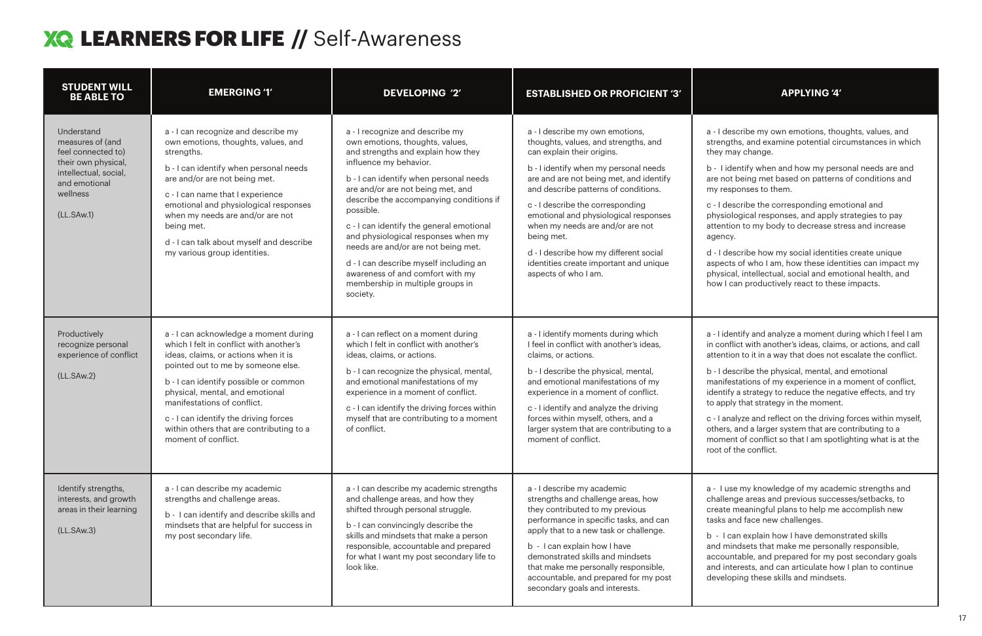## **XQ LEARNERS FOR LIFE //** Self-Awareness

| <b>STUDENT WILL</b><br><b>BE ABLE TO</b>                                                                                                        | <b>EMERGING '1'</b>                                                                                                                                                                                                                                                                                                                                                                   | <b>DEVELOPING '2'</b>                                                                                                                                                                                                                                                                                                                                                                                                                                                                                                             | <b>ESTABLISHED OR PROFICIENT '3'</b>                                                                                                                                                                                                                                                                                                                                                                                                                                         | <b>APPLYING '4'</b>                                                                                                                                                                                                                                                                                                                                                                                                                                                                                     |
|-------------------------------------------------------------------------------------------------------------------------------------------------|---------------------------------------------------------------------------------------------------------------------------------------------------------------------------------------------------------------------------------------------------------------------------------------------------------------------------------------------------------------------------------------|-----------------------------------------------------------------------------------------------------------------------------------------------------------------------------------------------------------------------------------------------------------------------------------------------------------------------------------------------------------------------------------------------------------------------------------------------------------------------------------------------------------------------------------|------------------------------------------------------------------------------------------------------------------------------------------------------------------------------------------------------------------------------------------------------------------------------------------------------------------------------------------------------------------------------------------------------------------------------------------------------------------------------|---------------------------------------------------------------------------------------------------------------------------------------------------------------------------------------------------------------------------------------------------------------------------------------------------------------------------------------------------------------------------------------------------------------------------------------------------------------------------------------------------------|
| Understand<br>measures of (and<br>feel connected to)<br>their own physical,<br>intellectual, social,<br>and emotional<br>wellness<br>(LL.SAw.1) | a - I can recognize and describe my<br>own emotions, thoughts, values, and<br>strengths.<br>b - I can identify when personal needs<br>are and/or are not being met.<br>c - I can name that I experience<br>emotional and physiological responses<br>when my needs are and/or are not<br>being met.<br>d - I can talk about myself and describe<br>my various group identities.        | a - I recognize and describe my<br>own emotions, thoughts, values,<br>and strengths and explain how they<br>influence my behavior.<br>b - I can identify when personal needs<br>are and/or are not being met, and<br>describe the accompanying conditions if<br>possible.<br>c - I can identify the general emotional<br>and physiological responses when my<br>needs are and/or are not being met.<br>d - I can describe myself including an<br>awareness of and comfort with my<br>membership in multiple groups in<br>society. | a - I describe my own emotions,<br>thoughts, values, and strengths, and<br>can explain their origins.<br>b - I identify when my personal needs<br>are and are not being met, and identify<br>and describe patterns of conditions.<br>c - I describe the corresponding<br>emotional and physiological responses<br>when my needs are and/or are not<br>being met.<br>d - I describe how my different social<br>identities create important and unique<br>aspects of who I am. | a - I describe my own emotions, tho<br>strengths, and examine potential cir<br>they may change.<br>b - I identify when and how my pers<br>are not being met based on patterns<br>my responses to them.<br>c - I describe the corresponding em<br>physiological responses, and apply<br>attention to my body to decrease st<br>agency.<br>d - I describe how my social identitie<br>aspects of who I am, how these ider<br>physical, intellectual, social and em<br>how I can productively react to thes |
| Productively<br>recognize personal<br>experience of conflict<br>(LL.SAw.2)                                                                      | a - I can acknowledge a moment during<br>which I felt in conflict with another's<br>ideas, claims, or actions when it is<br>pointed out to me by someone else.<br>b - I can identify possible or common<br>physical, mental, and emotional<br>manifestations of conflict.<br>c - I can identify the driving forces<br>within others that are contributing to a<br>moment of conflict. | a - I can reflect on a moment during<br>which I felt in conflict with another's<br>ideas, claims, or actions.<br>b - I can recognize the physical, mental,<br>and emotional manifestations of my<br>experience in a moment of conflict.<br>c - I can identify the driving forces within<br>myself that are contributing to a moment<br>of conflict.                                                                                                                                                                               | a - I identify moments during which<br>I feel in conflict with another's ideas,<br>claims, or actions.<br>b - I describe the physical, mental,<br>and emotional manifestations of my<br>experience in a moment of conflict.<br>c - I identify and analyze the driving<br>forces within myself, others, and a<br>larger system that are contributing to a<br>moment of conflict.                                                                                              | a - I identify and analyze a moment d<br>in conflict with another's ideas, claim<br>attention to it in a way that does not<br>b - I describe the physical, mental, are<br>manifestations of my experience in a<br>identify a strategy to reduce the neg<br>to apply that strategy in the moment<br>c - I analyze and reflect on the driving<br>others, and a larger system that are o<br>moment of conflict so that I am spot<br>root of the conflict.                                                  |
| Identify strengths,<br>interests, and growth<br>areas in their learning<br>(LL.SAw.3)                                                           | a - I can describe my academic<br>strengths and challenge areas.<br>b - I can identify and describe skills and<br>mindsets that are helpful for success in<br>my post secondary life.                                                                                                                                                                                                 | a - I can describe my academic strengths<br>and challenge areas, and how they<br>shifted through personal struggle.<br>b - I can convincingly describe the<br>skills and mindsets that make a person<br>responsible, accountable and prepared<br>for what I want my post secondary life to<br>look like.                                                                                                                                                                                                                          | a - I describe my academic<br>strengths and challenge areas, how<br>they contributed to my previous<br>performance in specific tasks, and can<br>apply that to a new task or challenge.<br>b - I can explain how I have<br>demonstrated skills and mindsets<br>that make me personally responsible,<br>accountable, and prepared for my post<br>secondary goals and interests.                                                                                               | a - I use my knowledge of my acade<br>challenge areas and previous succe<br>create meaningful plans to help me<br>tasks and face new challenges.<br>b - I can explain how I have demon<br>and mindsets that make me persona<br>accountable, and prepared for my p<br>and interests, and can articulate hov<br>developing these skills and mindset                                                                                                                                                       |

describe my own emotions, thoughts, values, and ngths, and examine potential circumstances in which may change.

identify when and how my personal needs are and not being met based on patterns of conditions and esponses to them.

describe the corresponding emotional and iological responses, and apply strategies to pay ntion to my body to decrease stress and increase hcy.

describe how my social identities create unique ects of who I am, how these identities can impact my ical, intellectual, social and emotional health, and I can productively react to these impacts.

identify and analyze a moment during which I feel I am in conflict with another's ideas, claims, or actions, and call ntion to it in a way that does not escalate the conflict.

describe the physical, mental, and emotional ifestations of my experience in a moment of conflict, tify a strategy to reduce the negative effects, and try oply that strategy in the moment.

analyze and reflect on the driving forces within myself, rs, and a larger system that are contributing to a nent of conflict so that I am spotlighting what is at the of the conflict.

use my knowledge of my academic strengths and lenge areas and previous successes/setbacks, to te meaningful plans to help me accomplish new and face new challenges.

can explain how I have demonstrated skills mindsets that make me personally responsible, buntable, and prepared for my post secondary goals interests, and can articulate how I plan to continue eloping these skills and mindsets.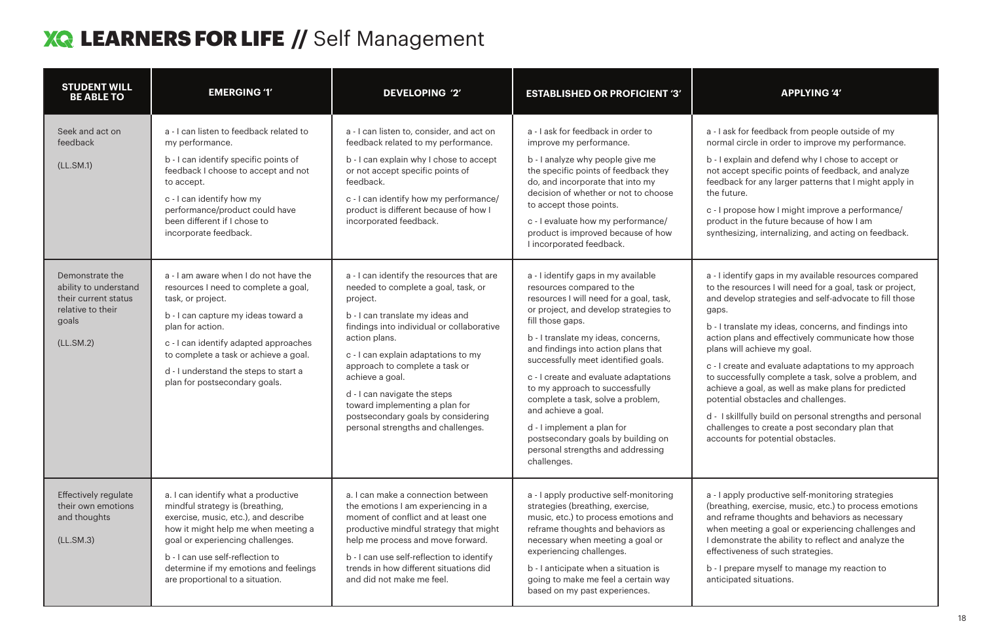## **XQ LEARNERS FOR LIFE // Self Management**

| <b>STUDENT WILL</b><br><b>BE ABLE TO</b>                                                                    | <b>EMERGING '1'</b>                                                                                                                                                                                                                                                                                                       | <b>DEVELOPING '2'</b>                                                                                                                                                                                                                                                                                                                                                                                                                    | <b>ESTABLISHED OR PROFICIENT '3'</b>                                                                                                                                                                                                                                                                                                                                                                                                                                                                                                                         | <b>APPLYING '4'</b>                                                                                                                                                                                                                                                                                                                                                                                                                                                                                                      |
|-------------------------------------------------------------------------------------------------------------|---------------------------------------------------------------------------------------------------------------------------------------------------------------------------------------------------------------------------------------------------------------------------------------------------------------------------|------------------------------------------------------------------------------------------------------------------------------------------------------------------------------------------------------------------------------------------------------------------------------------------------------------------------------------------------------------------------------------------------------------------------------------------|--------------------------------------------------------------------------------------------------------------------------------------------------------------------------------------------------------------------------------------------------------------------------------------------------------------------------------------------------------------------------------------------------------------------------------------------------------------------------------------------------------------------------------------------------------------|--------------------------------------------------------------------------------------------------------------------------------------------------------------------------------------------------------------------------------------------------------------------------------------------------------------------------------------------------------------------------------------------------------------------------------------------------------------------------------------------------------------------------|
| Seek and act on<br>feedback<br>(LL.SM.1)                                                                    | a - I can listen to feedback related to<br>my performance.<br>b - I can identify specific points of<br>feedback I choose to accept and not<br>to accept.<br>c - I can identify how my<br>performance/product could have<br>been different if I chose to<br>incorporate feedback.                                          | a - I can listen to, consider, and act on<br>feedback related to my performance.<br>b - I can explain why I chose to accept<br>or not accept specific points of<br>feedback.<br>c - I can identify how my performance/<br>product is different because of how I<br>incorporated feedback.                                                                                                                                                | a - I ask for feedback in order to<br>improve my performance.<br>b - I analyze why people give me<br>the specific points of feedback they<br>do, and incorporate that into my<br>decision of whether or not to choose<br>to accept those points.<br>c - I evaluate how my performance/<br>product is improved because of how<br>I incorporated feedback.                                                                                                                                                                                                     | a - I ask for feedback from people<br>normal circle in order to improve r<br>b - I explain and defend why I chos<br>not accept specific points of feedl<br>feedback for any larger patterns th<br>the future.<br>c - I propose how I might improve<br>product in the future because of h<br>synthesizing, internalizing, and act                                                                                                                                                                                         |
| Demonstrate the<br>ability to understand<br>their current status<br>relative to their<br>goals<br>(LL.SM.2) | a - I am aware when I do not have the<br>resources I need to complete a goal,<br>task, or project.<br>b - I can capture my ideas toward a<br>plan for action.<br>c - I can identify adapted approaches<br>to complete a task or achieve a goal.<br>d - I understand the steps to start a<br>plan for postsecondary goals. | a - I can identify the resources that are<br>needed to complete a goal, task, or<br>project.<br>b - I can translate my ideas and<br>findings into individual or collaborative<br>action plans.<br>c - I can explain adaptations to my<br>approach to complete a task or<br>achieve a goal.<br>d - I can navigate the steps<br>toward implementing a plan for<br>postsecondary goals by considering<br>personal strengths and challenges. | a - I identify gaps in my available<br>resources compared to the<br>resources I will need for a goal, task,<br>or project, and develop strategies to<br>fill those gaps.<br>b - I translate my ideas, concerns,<br>and findings into action plans that<br>successfully meet identified goals.<br>c - I create and evaluate adaptations<br>to my approach to successfully<br>complete a task, solve a problem,<br>and achieve a goal.<br>d - I implement a plan for<br>postsecondary goals by building on<br>personal strengths and addressing<br>challenges. | a - I identify gaps in my available re<br>to the resources I will need for a g<br>and develop strategies and self-ad<br>gaps.<br>b - I translate my ideas, concerns,<br>action plans and effectively comm<br>plans will achieve my goal.<br>c - I create and evaluate adaptatio<br>to successfully complete a task, so<br>achieve a goal, as well as make pla<br>potential obstacles and challenges<br>d - I skillfully build on personal str<br>challenges to create a post secone<br>accounts for potential obstacles. |
| Effectively regulate<br>their own emotions<br>and thoughts<br>(LL.SM.3)                                     | a. I can identify what a productive<br>mindful strategy is (breathing,<br>exercise, music, etc.), and describe<br>how it might help me when meeting a<br>goal or experiencing challenges.<br>b - I can use self-reflection to<br>determine if my emotions and feelings<br>are proportional to a situation.                | a. I can make a connection between<br>the emotions I am experiencing in a<br>moment of conflict and at least one<br>productive mindful strategy that might<br>help me process and move forward.<br>b - I can use self-reflection to identify<br>trends in how different situations did<br>and did not make me feel.                                                                                                                      | a - I apply productive self-monitoring<br>strategies (breathing, exercise,<br>music, etc.) to process emotions and<br>reframe thoughts and behaviors as<br>necessary when meeting a goal or<br>experiencing challenges.<br>b - I anticipate when a situation is<br>going to make me feel a certain way<br>based on my past experiences.                                                                                                                                                                                                                      | a - I apply productive self-monitori<br>(breathing, exercise, music, etc.) t<br>and reframe thoughts and behavio<br>when meeting a goal or experienc<br>I demonstrate the ability to reflect<br>effectiveness of such strategies.<br>b - I prepare myself to manage my<br>anticipated situations.                                                                                                                                                                                                                        |

ask for feedback from people outside of my mal circle in order to improve my performance.

explain and defend why I chose to accept or accept specific points of feedback, and analyze lback for any larger patterns that I might apply in future.

propose how I might improve a performance/ duct in the future because of how I am thesizing, internalizing, and acting on feedback.

identify gaps in my available resources compared ne resources I will need for a goal, task or project, develop strategies and self-advocate to fill those ps.

translate my ideas, concerns, and findings into on plans and effectively communicate how those is will achieve my goal.

create and evaluate adaptations to my approach uccessfully complete a task, solve a problem, and ieve a goal, as well as make plans for predicted ential obstacles and challenges.

I skillfully build on personal strengths and personal llenges to create a post secondary plan that ounts for potential obstacles.

apply productive self-monitoring strategies athing, exercise, music, etc.) to process emotions reframe thoughts and behaviors as necessary en meeting a goal or experiencing challenges and monstrate the ability to reflect and analyze the ctiveness of such strategies.

prepare myself to manage my reaction to cipated situations.